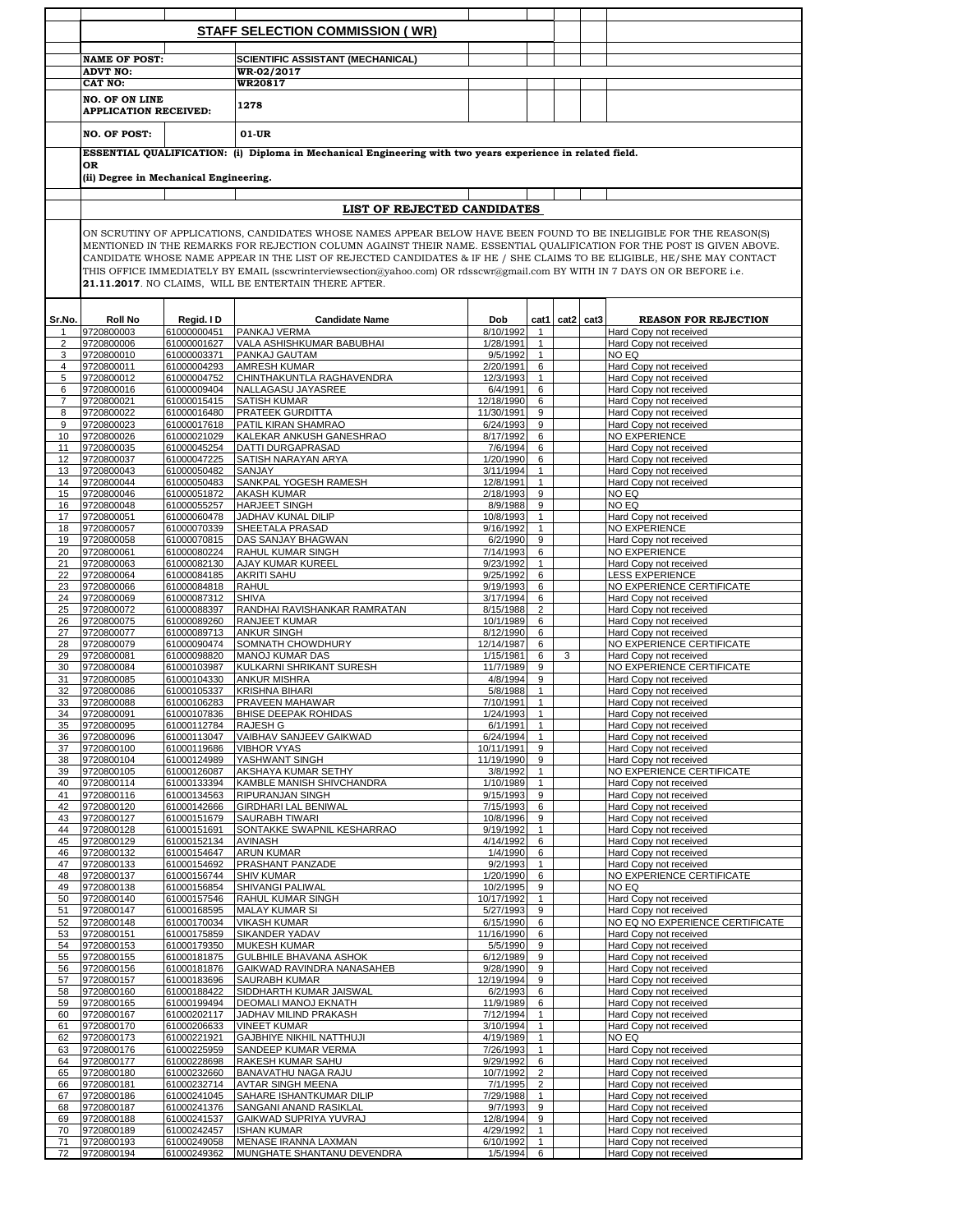|                      |                                        |                            | <b>STAFF SELECTION COMMISSION (WR)</b>                                                                                                                                                                                                                |                          |                                  |      |      |                                                     |  |  |
|----------------------|----------------------------------------|----------------------------|-------------------------------------------------------------------------------------------------------------------------------------------------------------------------------------------------------------------------------------------------------|--------------------------|----------------------------------|------|------|-----------------------------------------------------|--|--|
|                      |                                        |                            |                                                                                                                                                                                                                                                       |                          |                                  |      |      |                                                     |  |  |
|                      |                                        |                            |                                                                                                                                                                                                                                                       |                          |                                  |      |      |                                                     |  |  |
|                      | <b>NAME OF POST:</b>                   |                            | SCIENTIFIC ASSISTANT (MECHANICAL)                                                                                                                                                                                                                     |                          |                                  |      |      |                                                     |  |  |
|                      | <b>ADVT NO:</b><br>CAT NO:             |                            | WR-02/2017<br><b>WR20817</b>                                                                                                                                                                                                                          |                          |                                  |      |      |                                                     |  |  |
|                      | <b>NO. OF ON LINE</b>                  |                            |                                                                                                                                                                                                                                                       |                          |                                  |      |      |                                                     |  |  |
|                      | <b>APPLICATION RECEIVED:</b>           |                            | 1278                                                                                                                                                                                                                                                  |                          |                                  |      |      |                                                     |  |  |
|                      |                                        |                            |                                                                                                                                                                                                                                                       |                          |                                  |      |      |                                                     |  |  |
|                      | <b>NO. OF POST:</b>                    |                            | $01-UR$                                                                                                                                                                                                                                               |                          |                                  |      |      |                                                     |  |  |
|                      |                                        |                            | ESSENTIAL QUALIFICATION: (i) Diploma in Mechanical Engineering with two years experience in related field.                                                                                                                                            |                          |                                  |      |      |                                                     |  |  |
|                      | 0R                                     |                            |                                                                                                                                                                                                                                                       |                          |                                  |      |      |                                                     |  |  |
|                      | (ii) Degree in Mechanical Engineering. |                            |                                                                                                                                                                                                                                                       |                          |                                  |      |      |                                                     |  |  |
|                      |                                        |                            |                                                                                                                                                                                                                                                       |                          |                                  |      |      |                                                     |  |  |
|                      |                                        |                            | LIST OF REJECTED CANDIDATES                                                                                                                                                                                                                           |                          |                                  |      |      |                                                     |  |  |
|                      |                                        |                            |                                                                                                                                                                                                                                                       |                          |                                  |      |      |                                                     |  |  |
|                      |                                        |                            | ON SCRUTINY OF APPLICATIONS, CANDIDATES WHOSE NAMES APPEAR BELOW HAVE BEEN FOUND TO BE INELIGIBLE FOR THE REASON(S)                                                                                                                                   |                          |                                  |      |      |                                                     |  |  |
|                      |                                        |                            | MENTIONED IN THE REMARKS FOR REJECTION COLUMN AGAINST THEIR NAME. ESSENTIAL QUALIFICATION FOR THE POST IS GIVEN ABOVE.                                                                                                                                |                          |                                  |      |      |                                                     |  |  |
|                      |                                        |                            | CANDIDATE WHOSE NAME APPEAR IN THE LIST OF REJECTED CANDIDATES & IF HE / SHE CLAIMS TO BE ELIGIBLE, HE/SHE MAY CONTACT<br>THIS OFFICE IMMEDIATELY BY EMAIL (sscwrinterviewsection@yahoo.com) OR rdsscwr@gmail.com BY WITH IN 7 DAYS ON OR BEFORE i.e. |                          |                                  |      |      |                                                     |  |  |
|                      |                                        |                            | 21.11.2017. NO CLAIMS, WILL BE ENTERTAIN THERE AFTER.                                                                                                                                                                                                 |                          |                                  |      |      |                                                     |  |  |
|                      |                                        |                            |                                                                                                                                                                                                                                                       |                          |                                  |      |      |                                                     |  |  |
|                      |                                        |                            |                                                                                                                                                                                                                                                       |                          |                                  |      |      |                                                     |  |  |
| Sr.No.               | <b>Roll No</b>                         | Regid. ID                  | <b>Candidate Name</b>                                                                                                                                                                                                                                 | Dob                      | cat1                             | cat2 | cat3 | <b>REASON FOR REJECTION</b>                         |  |  |
| -1<br>$\overline{2}$ | 9720800003<br>9720800006               | 61000000451<br>61000001627 | PANKAJ VERMA<br><b>VALA ASHISHKUMAR BABUBHAI</b>                                                                                                                                                                                                      | 8/10/1992<br>1/28/1991   | $\mathbf{1}$<br>$\mathbf{1}$     |      |      | Hard Copy not received<br>Hard Copy not received    |  |  |
| 3                    | 9720800010                             | 61000003371                | PANKAJ GAUTAM                                                                                                                                                                                                                                         | 9/5/1992                 | $\mathbf{1}$                     |      |      | NO EQ                                               |  |  |
| 4                    | 9720800011                             | 61000004293                | <b>AMRESH KUMAR</b>                                                                                                                                                                                                                                   | 2/20/1991                | 6                                |      |      | Hard Copy not received                              |  |  |
| 5                    | 9720800012                             | 61000004752                | CHINTHAKUNTLA RAGHAVENDRA                                                                                                                                                                                                                             | 12/3/1993                | $\mathbf{1}$                     |      |      | Hard Copy not received                              |  |  |
| 6<br>$\overline{7}$  | 9720800016                             | 61000009404                | NALLAGASU JAYASREE<br><b>SATISH KUMAR</b>                                                                                                                                                                                                             | 6/4/1991                 | 6                                |      |      | Hard Copy not received<br>Hard Copy not received    |  |  |
| 8                    | 9720800021<br>9720800022               | 61000015415<br>61000016480 | <b>PRATEEK GURDITTA</b>                                                                                                                                                                                                                               | 12/18/1990<br>11/30/1991 | 6<br>9                           |      |      | Hard Copy not received                              |  |  |
| 9                    | 9720800023                             | 61000017618                | PATIL KIRAN SHAMRAO                                                                                                                                                                                                                                   | 6/24/1993                | 9                                |      |      | Hard Copy not received                              |  |  |
| 10                   | 9720800026                             | 61000021029                | KALEKAR ANKUSH GANESHRAO                                                                                                                                                                                                                              | 8/17/1992                | 6                                |      |      | NO EXPERIENCE                                       |  |  |
| 11                   | 9720800035                             | 61000045254                | <b>DATTI DURGAPRASAD</b>                                                                                                                                                                                                                              | 7/6/1994                 | 6                                |      |      | Hard Copy not received                              |  |  |
| 12<br>13             | 9720800037<br>9720800043               | 61000047225<br>61000050482 | SATISH NARAYAN ARYA<br>SANJAY                                                                                                                                                                                                                         | 1/20/1990<br>3/11/1994   | 6<br>$\mathbf{1}$                |      |      | Hard Copy not received<br>Hard Copy not received    |  |  |
| 14                   | 9720800044                             | 61000050483                | SANKPAL YOGESH RAMESH                                                                                                                                                                                                                                 | 12/8/1991                | $\mathbf{1}$                     |      |      | Hard Copy not received                              |  |  |
| 15                   | 9720800046                             | 61000051872                | <b>AKASH KUMAR</b>                                                                                                                                                                                                                                    | 2/18/1993                | 9                                |      |      | NO EQ                                               |  |  |
| 16                   | 9720800048                             | 61000055257                | <b>HARJEET SINGH</b>                                                                                                                                                                                                                                  | 8/9/1988                 | 9                                |      |      | NO EQ                                               |  |  |
| 17                   | 9720800051                             | 61000060478                | JADHAV KUNAL DILIP                                                                                                                                                                                                                                    | 10/8/1993                | $\mathbf{1}$                     |      |      | Hard Copy not received                              |  |  |
| 18<br>19             | 9720800057<br>9720800058               | 61000070339<br>61000070815 | SHEETALA PRASAD<br>DAS SANJAY BHAGWAN                                                                                                                                                                                                                 | 9/16/1992<br>6/2/1990    | $\mathbf{1}$<br>9                |      |      | <b>NO EXPERIENCE</b><br>Hard Copy not received      |  |  |
| 20                   | 9720800061                             | 61000080224                | <b>RAHUL KUMAR SINGH</b>                                                                                                                                                                                                                              | 7/14/1993                | 6                                |      |      | <b>NO EXPERIENCE</b>                                |  |  |
| 21                   | 9720800063                             | 61000082130                | <b>AJAY KUMAR KUREEL</b>                                                                                                                                                                                                                              | 9/23/1992                | $\mathbf{1}$                     |      |      | Hard Copy not received                              |  |  |
| 22                   | 9720800064                             | 61000084185                | <b>AKRITI SAHU</b>                                                                                                                                                                                                                                    | 9/25/1992                | 6                                |      |      | <b>LESS EXPERIENCE</b>                              |  |  |
| 23                   | 9720800066                             | 61000084818                | <b>RAHUL</b>                                                                                                                                                                                                                                          | 9/19/1993                | 6                                |      |      | NO EXPERIENCE CERTIFICATE                           |  |  |
| 24<br>25             | 9720800069<br>9720800072               | 61000087312<br>61000088397 | <b>SHIVA</b><br>RANDHAI RAVISHANKAR RAMRATAN                                                                                                                                                                                                          | 3/17/1994<br>8/15/1988   | 6<br>2                           |      |      | Hard Copy not received<br>Hard Copy not received    |  |  |
| 26                   | 9720800075                             | 61000089260                | <b>RANJEET KUMAR</b>                                                                                                                                                                                                                                  | 10/1/1989                | 6                                |      |      | Hard Copy not received                              |  |  |
| 27                   | 9720800077                             | 61000089713                | <b>ANKUR SINGH</b>                                                                                                                                                                                                                                    | 8/12/1990                | 6                                |      |      | Hard Copy not received                              |  |  |
| 28                   | 9720800079                             | 61000090474                | SOMNATH CHOWDHURY                                                                                                                                                                                                                                     | 12/14/1987               | 6                                |      |      | NO EXPERIENCE CERTIFICATE                           |  |  |
| 29<br>30             | 9720800081<br>9720800084               | 61000098820<br>61000103987 | <b>MANOJ KUMAR DAS</b><br>KULKARNI SHRIKANT SURESH                                                                                                                                                                                                    | 1/15/1981<br>11/7/1989   | 6<br>9                           | 3    |      | Hard Copy not received<br>NO EXPERIENCE CERTIFICATE |  |  |
| 31                   | 9720800085                             | 61000104330                | <b>ANKUR MISHRA</b>                                                                                                                                                                                                                                   | 4/8/1994                 | 9                                |      |      | Hard Copy not received                              |  |  |
| 32                   | 9720800086                             | 61000105337                | <b>KRISHNA BIHARI</b>                                                                                                                                                                                                                                 | 5/8/1988                 | $\mathbf{1}$                     |      |      | Hard Copy not received                              |  |  |
| 33                   | 9720800088                             | 61000106283                | PRAVEEN MAHAWAR                                                                                                                                                                                                                                       | 7/10/1991                | $\mathbf{1}$                     |      |      | Hard Copy not received                              |  |  |
| 34<br>35             | 9720800091<br>9720800095               | 61000107836<br>61000112784 | <b>BHISE DEEPAK ROHIDAS</b><br><b>RAJESH G</b>                                                                                                                                                                                                        | 1/24/1993<br>6/1/1991    | $\mathbf{1}$                     |      |      | Hard Copy not received                              |  |  |
| 36                   | 9720800096                             | 61000113047                | VAIBHAV SANJEEV GAIKWAD                                                                                                                                                                                                                               | 6/24/1994                | 1<br>$\mathbf{1}$                |      |      | Hard Copy not received<br>Hard Copy not received    |  |  |
| 37                   | 9720800100                             | 61000119686                | <b>VIBHOR VYAS</b>                                                                                                                                                                                                                                    | 10/11/1991               | 9                                |      |      | Hard Copy not received                              |  |  |
| 38                   | 9720800104                             | 61000124989                | YASHWANT SINGH                                                                                                                                                                                                                                        | 11/19/1990               | 9                                |      |      | Hard Copy not received                              |  |  |
| 39                   | 9720800105                             | 61000126087                | AKSHAYA KUMAR SETHY                                                                                                                                                                                                                                   | 3/8/1992                 | $\mathbf{1}$                     |      |      | NO EXPERIENCE CERTIFICATE<br>Hard Copy not received |  |  |
| 40<br>41             | 9720800114<br>9720800116               | 61000133394<br>61000134563 | KAMBLE MANISH SHIVCHANDRA<br><b>RIPURANJAN SINGH</b>                                                                                                                                                                                                  | 1/10/1989<br>9/15/1993   | $\mathbf{1}$<br>9                |      |      | Hard Copy not received                              |  |  |
| 42                   | 9720800120                             | 61000142666                | <b>GIRDHARI LAL BENIWAL</b>                                                                                                                                                                                                                           | 7/15/1993                | 6                                |      |      | Hard Copy not received                              |  |  |
| 43                   | 9720800127                             | 61000151679                | <b>SAURABH TIWARI</b>                                                                                                                                                                                                                                 | 10/8/1996                | 9                                |      |      | Hard Copy not received                              |  |  |
| 44<br>45             | 9720800128                             | 61000151691                | SONTAKKE SWAPNIL KESHARRAO<br><b>AVINASH</b>                                                                                                                                                                                                          | 9/19/1992<br>4/14/1992   | $\mathbf{1}$<br>6                |      |      | Hard Copy not received                              |  |  |
| 46                   | 9720800129<br>9720800132               | 61000152134<br>61000154647 | <b>ARUN KUMAR</b>                                                                                                                                                                                                                                     | 1/4/1990                 | 6                                |      |      | Hard Copy not received<br>Hard Copy not received    |  |  |
| 47                   | 9720800133                             | 61000154692                | PRASHANT PANZADE                                                                                                                                                                                                                                      | 9/2/1993                 | $\mathbf{1}$                     |      |      | Hard Copy not received                              |  |  |
| 48                   | 9720800137                             | 61000156744                | <b>SHIV KUMAR</b>                                                                                                                                                                                                                                     | 1/20/1990                | 6                                |      |      | NO EXPERIENCE CERTIFICATE                           |  |  |
| 49<br>50             | 9720800138<br>9720800140               | 61000156854<br>61000157546 | SHIVANGI PALIWAL<br>RAHUL KUMAR SINGH                                                                                                                                                                                                                 | 10/2/1995<br>10/17/1992  | 9<br>$\mathbf{1}$                |      |      | NO EQ<br>Hard Copy not received                     |  |  |
| 51                   | 9720800147                             | 61000168595                | <b>MALAY KUMAR SI</b>                                                                                                                                                                                                                                 | 5/27/1993                | 9                                |      |      | Hard Copy not received                              |  |  |
| 52                   | 9720800148                             | 61000170034                | <b>VIKASH KUMAR</b>                                                                                                                                                                                                                                   | 6/15/1990                | 6                                |      |      | NO EQ NO EXPERIENCE CERTIFICATE                     |  |  |
| 53                   | 9720800151                             | 61000175859                | SIKANDER YADAV                                                                                                                                                                                                                                        | 11/16/1990               | 6                                |      |      | Hard Copy not received                              |  |  |
| 54<br>55             | 9720800153<br>9720800155               | 61000179350<br>61000181875 | <b>MUKESH KUMAR</b><br>GULBHILE BHAVANA ASHOK                                                                                                                                                                                                         | 5/5/1990<br>6/12/1989    | 9<br>9                           |      |      | Hard Copy not received<br>Hard Copy not received    |  |  |
| 56                   | 9720800156                             | 61000181876                | GAIKWAD RAVINDRA NANASAHEB                                                                                                                                                                                                                            | 9/28/1990                | 9                                |      |      | Hard Copy not received                              |  |  |
| 57                   | 9720800157                             | 61000183696                | SAURABH KUMAR                                                                                                                                                                                                                                         | 12/19/1994               | 9                                |      |      | Hard Copy not received                              |  |  |
| 58                   | 9720800160                             | 61000188422                | SIDDHARTH KUMAR JAISWAL                                                                                                                                                                                                                               | 6/2/1993                 | 6                                |      |      | Hard Copy not received                              |  |  |
| 59                   | 9720800165<br>9720800167               | 61000199494<br>61000202117 | DEOMALI MANOJ EKNATH<br>JADHAV MILIND PRAKASH                                                                                                                                                                                                         | 11/9/1989<br>7/12/1994   | 6                                |      |      | Hard Copy not received<br>Hard Copy not received    |  |  |
| 60<br>61             | 9720800170                             | 61000206633                | <b>VINEET KUMAR</b>                                                                                                                                                                                                                                   | 3/10/1994                | $\mathbf{1}$<br>$\mathbf{1}$     |      |      | Hard Copy not received                              |  |  |
| 62                   | 9720800173                             | 61000221921                | <b>GAJBHIYE NIKHIL NATTHUJI</b>                                                                                                                                                                                                                       | 4/19/1989                | $\mathbf{1}$                     |      |      | NO EQ                                               |  |  |
| 63                   | 9720800176                             | 61000225959                | SANDEEP KUMAR VERMA                                                                                                                                                                                                                                   | 7/26/1993                | $\mathbf{1}$                     |      |      | Hard Copy not received                              |  |  |
| 64                   | 9720800177                             | 61000228698                | RAKESH KUMAR SAHU                                                                                                                                                                                                                                     | 9/29/1992                | 6                                |      |      | Hard Copy not received                              |  |  |
| 65<br>66             | 9720800180<br>9720800181               | 61000232660<br>61000232714 | BANAVATHU NAGA RAJU<br><b>AVTAR SINGH MEENA</b>                                                                                                                                                                                                       | 10/7/1992<br>7/1/1995    | $\overline{2}$<br>$\overline{2}$ |      |      | Hard Copy not received<br>Hard Copy not received    |  |  |
| 67                   | 9720800186                             | 61000241045                | SAHARE ISHANTKUMAR DILIP                                                                                                                                                                                                                              | 7/29/1988                | $\mathbf{1}$                     |      |      | Hard Copy not received                              |  |  |
| 68                   | 9720800187                             | 61000241376                | SANGANI ANAND RASIKLAL                                                                                                                                                                                                                                | 9/7/1993                 | 9                                |      |      | Hard Copy not received                              |  |  |
| 69                   | 9720800188                             | 61000241537                | GAIKWAD SUPRIYA YUVRAJ                                                                                                                                                                                                                                | 12/8/1994                | 9                                |      |      | Hard Copy not received                              |  |  |
| 70<br>71             | 9720800189<br>9720800193               | 61000242457<br>61000249058 | <b>ISHAN KUMAR</b><br>MENASE IRANNA LAXMAN                                                                                                                                                                                                            | 4/29/1992<br>6/10/1992   | $\mathbf{1}$<br>$\mathbf{1}$     |      |      | Hard Copy not received<br>Hard Copy not received    |  |  |
| 72                   | 9720800194                             | 61000249362                | MUNGHATE SHANTANU DEVENDRA                                                                                                                                                                                                                            | 1/5/1994 6               |                                  |      |      | Hard Copy not received                              |  |  |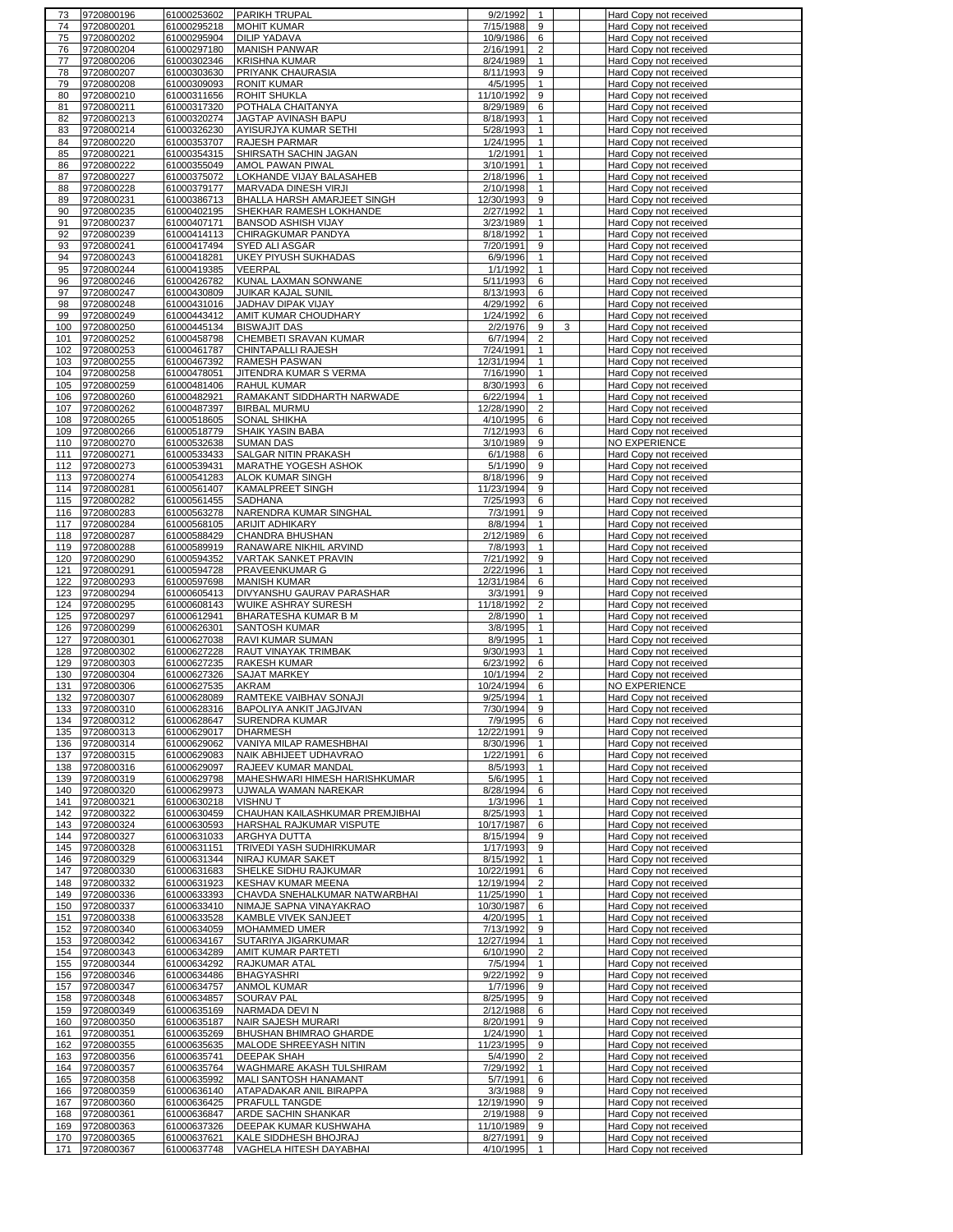| 73         | 9720800196 | 61000253602                | <b>PARIKH TRUPAL</b>                             | 9/2/1992   | 1              | Hard Copy not received                           |
|------------|------------|----------------------------|--------------------------------------------------|------------|----------------|--------------------------------------------------|
| 74         | 9720800201 | 61000295218                | <b>MOHIT KUMAR</b>                               | 7/15/1988  | 9              | Hard Copy not received                           |
| 75         | 9720800202 | 61000295904                | <b>DILIP YADAVA</b>                              | 10/9/1986  | 6              | Hard Copy not received                           |
| 76         | 9720800204 | 61000297180                | <b>MANISH PANWAR</b>                             | 2/16/1991  | 2              | Hard Copy not received                           |
| 77         | 9720800206 | 61000302346                | <b>KRISHNA KUMAR</b>                             | 8/24/1989  | $\mathbf{1}$   | Hard Copy not received                           |
| 78         | 9720800207 | 61000303630                | PRIYANK CHAURASIA                                | 8/11/1993  | 9              | Hard Copy not received                           |
| 79         | 9720800208 | 61000309093                | <b>RONIT KUMAR</b>                               | 4/5/1995   | $\mathbf{1}$   | Hard Copy not received                           |
| 80         | 9720800210 | 61000311656                |                                                  | 11/10/1992 | 9              |                                                  |
|            |            |                            | <b>ROHIT SHUKLA</b>                              |            |                | Hard Copy not received                           |
| 81         | 9720800211 | 61000317320                | POTHALA CHAITANYA                                | 8/29/1989  | 6              | Hard Copy not received                           |
| 82         | 9720800213 | 61000320274                | JAGTAP AVINASH BAPU                              | 8/18/1993  | $\mathbf{1}$   | Hard Copy not received                           |
| 83         | 9720800214 | 61000326230                | AYISURJYA KUMAR SETHI                            | 5/28/1993  | $\mathbf{1}$   | Hard Copy not received                           |
| 84         | 9720800220 | 61000353707                | <b>RAJESH PARMAR</b>                             | 1/24/1995  | $\mathbf{1}$   | Hard Copy not received                           |
| 85         | 9720800221 | 61000354315                | SHIRSATH SACHIN JAGAN                            | 1/2/1991   | $\mathbf{1}$   | Hard Copy not received                           |
| 86         | 9720800222 | 61000355049                | AMOL PAWAN PIWAL                                 | 3/10/1991  | $\mathbf{1}$   | Hard Copy not received                           |
| 87         | 9720800227 | 61000375072                | LOKHANDE VIJAY BALASAHEB                         | 2/18/1996  | $\mathbf{1}$   | Hard Copy not received                           |
| 88         | 9720800228 | 61000379177                | MARVADA DINESH VIRJI                             | 2/10/1998  | $\mathbf{1}$   | Hard Copy not received                           |
| 89         | 9720800231 | 61000386713                | BHALLA HARSH AMARJEET SINGH                      | 12/30/1993 | 9              | Hard Copy not received                           |
| 90         | 9720800235 | 61000402195                | SHEKHAR RAMESH LOKHANDE                          | 2/27/1992  | $\mathbf{1}$   | Hard Copy not received                           |
| 91         | 9720800237 | 61000407171                | <b>BANSOD ASHISH VIJAY</b>                       | 3/23/1989  | $\mathbf{1}$   | Hard Copy not received                           |
|            |            |                            |                                                  |            |                |                                                  |
| 92         | 9720800239 | 61000414113                | CHIRAGKUMAR PANDYA                               | 8/18/1992  | $\mathbf{1}$   | Hard Copy not received                           |
| 93         | 9720800241 | 61000417494                | SYED ALI ASGAR                                   | 7/20/1991  | 9              | Hard Copy not received                           |
| 94         | 9720800243 | 61000418281                | <b>UKEY PIYUSH SUKHADAS</b>                      | 6/9/1996   | $\mathbf{1}$   | Hard Copy not received                           |
| 95         | 9720800244 | 61000419385                | <b>VEERPAL</b>                                   | 1/1/1992   | $\mathbf{1}$   | Hard Copy not received                           |
| 96         | 9720800246 | 61000426782                | KUNAL LAXMAN SONWANE                             | 5/11/1993  | 6              | Hard Copy not received                           |
| 97         | 9720800247 | 61000430809                | <b>JUIKAR KAJAL SUNIL</b>                        | 8/13/1993  | 6              | Hard Copy not received                           |
| 98         | 9720800248 | 61000431016                | JADHAV DIPAK VIJAY                               | 4/29/1992  | 6              | Hard Copy not received                           |
| 99         | 9720800249 | 61000443412                | AMIT KUMAR CHOUDHARY                             | 1/24/1992  | 6              | Hard Copy not received                           |
| 100        | 9720800250 | 61000445134                | <b>BISWAJIT DAS</b>                              | 2/2/1976   | 9<br>3         | Hard Copy not received                           |
| 101        | 9720800252 | 61000458798                | CHEMBETI SRAVAN KUMAR                            | 6/7/1994   | $\overline{2}$ | Hard Copy not received                           |
| 102        | 9720800253 | 61000461787                | CHINTAPALLI RAJESH                               | 7/24/1991  | 1              | Hard Copy not received                           |
| 103        | 9720800255 | 61000467392                | RAMESH PASWAN                                    | 12/31/1994 | $\mathbf{1}$   | Hard Copy not received                           |
| 104        | 9720800258 | 61000478051                | JITENDRA KUMAR S VERMA                           | 7/16/1990  | $\mathbf{1}$   | Hard Copy not received                           |
|            |            |                            |                                                  |            |                |                                                  |
| 105        | 9720800259 | 61000481406                | <b>RAHUL KUMAR</b>                               | 8/30/1993  | 6              | Hard Copy not received                           |
| 106        | 9720800260 | 61000482921                | RAMAKANT SIDDHARTH NARWADE                       | 6/22/1994  | $\mathbf{1}$   | Hard Copy not received                           |
| 107        | 9720800262 | 61000487397                | <b>BIRBAL MURMU</b>                              | 12/28/1990 | $\overline{2}$ | Hard Copy not received                           |
| 108        | 9720800265 | 61000518605                | <b>SONAL SHIKHA</b>                              | 4/10/1995  | 6              | Hard Copy not received                           |
| 109        | 9720800266 | 61000518779                | SHAIK YASIN BABA                                 | 7/12/1993  | 6              | Hard Copy not received                           |
| 110        | 9720800270 | 61000532638                | <b>SUMAN DAS</b>                                 | 3/10/1989  | 9              | NO EXPERIENCE                                    |
| 111        | 9720800271 | 61000533433                | <b>SALGAR NITIN PRAKASH</b>                      | 6/1/1988   | 6              | Hard Copy not received                           |
| 112        | 9720800273 | 61000539431                | MARATHE YOGESH ASHOK                             | 5/1/1990   | 9              | Hard Copy not received                           |
| 113        | 9720800274 | 61000541283                | <b>ALOK KUMAR SINGH</b>                          | 8/18/1996  | 9              | Hard Copy not received                           |
| 114        | 9720800281 | 61000561407                | <b>KAMALPREET SINGH</b>                          | 11/23/1994 | 9              | Hard Copy not received                           |
| 115        | 9720800282 | 61000561455                | SADHANA                                          | 7/25/1993  | 6              |                                                  |
|            | 9720800283 |                            |                                                  |            |                | Hard Copy not received                           |
| 116        |            | 61000563278                | NARENDRA KUMAR SINGHAL                           | 7/3/1991   | 9              | Hard Copy not received                           |
| 117        | 9720800284 | 61000568105                | <b>ARIJIT ADHIKARY</b>                           | 8/8/1994   | $\mathbf{1}$   | Hard Copy not received                           |
| 118        | 9720800287 | 61000588429                | CHANDRA BHUSHAN                                  | 2/12/1989  | 6              | Hard Copy not received                           |
| 119        | 9720800288 | 61000589919                | RANAWARE NIKHIL ARVIND                           | 7/8/1993   | $\mathbf{1}$   | Hard Copy not received                           |
| 120        | 9720800290 | 61000594352                | VARTAK SANKET PRAVIN                             | 7/21/1992  | 9              | Hard Copy not received                           |
| 121        | 9720800291 | 61000594728                | PRAVEENKUMAR G                                   | 2/22/1996  | $\mathbf{1}$   | Hard Copy not received                           |
| 122        | 9720800293 | 61000597698                | <b>MANISH KUMAR</b>                              | 12/31/1984 | 6              | Hard Copy not received                           |
| 123        | 9720800294 | 61000605413                | DIVYANSHU GAURAV PARASHAR                        | 3/3/1991   | 9              | Hard Copy not received                           |
| 124        | 9720800295 | 61000608143                | WUIKE ASHRAY SURESH                              | 11/18/1992 | $\overline{2}$ | Hard Copy not received                           |
| 125        | 9720800297 | 61000612941                | BHARATESHA KUMAR B M                             | 2/8/1990   | $\mathbf{1}$   | Hard Copy not received                           |
|            |            |                            | <b>SANTOSH KUMAR</b>                             |            |                |                                                  |
| 126        | 9720800299 | 61000626301                |                                                  | 3/8/1995   | $\mathbf{1}$   | Hard Copy not received                           |
| 127        | 9720800301 | 61000627038                | <b>RAVI KUMAR SUMAN</b>                          | 8/9/1995   | $\mathbf{1}$   | Hard Copy not received                           |
| 128        | 9720800302 | 61000627228                | RAUT VINAYAK TRIMBAK                             | 9/30/1993  | 1              | Hard Copy not received                           |
| 129        | 9720800303 | 61000627235                | <b>RAKESH KUMAR</b>                              | 6/23/1992  | 6              | Hard Copy not received                           |
| 130        | 9720800304 | 61000627326                | <b>SAJAT MARKEY</b>                              | 10/1/1994  | $\overline{2}$ | Hard Copy not received                           |
| 131        | 9720800306 | 61000627535                | <b>AKRAM</b>                                     | 10/24/1994 | 6              | NO EXPERIENCE                                    |
| 132        | 9720800307 | 61000628089                | RAMTEKE VAIBHAV SONAJI                           | 9/25/1994  | $\mathbf{1}$   | Hard Copy not received                           |
| 133        | 9720800310 | 61000628316                | BAPOLIYA ANKIT JAGJIVAN                          | 7/30/1994  | $\alpha$       | Hard Copy not received                           |
| 134        | 9720800312 | 61000628647                | <b>SURENDRA KUMAR</b>                            | 7/9/1995   | 6              | Hard Copy not received                           |
| 135        | 9720800313 | 61000629017                | <b>DHARMESH</b>                                  | 12/22/1991 | 9              | Hard Copy not received                           |
| 136        | 9720800314 | 61000629062                | VANIYA MILAP RAMESHBHAI                          | 8/30/1996  | $\mathbf{1}$   | Hard Copy not received                           |
| 137        | 9720800315 | 61000629083                | NAIK ABHIJEET UDHAVRAO                           | 1/22/1991  | 6              | Hard Copy not received                           |
| 138        | 9720800316 | 61000629097                | RAJEEV KUMAR MANDAL                              | 8/5/1993   | $\mathbf{1}$   | Hard Copy not received                           |
| 139        | 9720800319 | 61000629798                | MAHESHWARI HIMESH HARISHKUMAR                    | 5/6/1995   | $\mathbf{1}$   | Hard Copy not received                           |
| 140        |            | 61000629973                |                                                  |            | 6              |                                                  |
|            | 9720800320 |                            | UJWALA WAMAN NAREKAR<br><b>VISHNUT</b>           | 8/28/1994  |                | Hard Copy not received<br>Hard Copy not received |
| 141        | 9720800321 | 61000630218<br>61000630459 | CHAUHAN KAILASHKUMAR PREMJIBHAI                  | 1/3/1996   | $\mathbf{1}$   |                                                  |
| 142        | 9720800322 |                            |                                                  | 8/25/1993  | $\mathbf{1}$   | Hard Copy not received                           |
| 143        | 9720800324 | 61000630593                | HARSHAL RAJKUMAR VISPUTE                         | 10/17/1987 | 6              | Hard Copy not received                           |
| 144        | 9720800327 | 61000631033                | ARGHYA DUTTA                                     | 8/15/1994  | 9              | Hard Copy not received                           |
| 145        | 9720800328 | 61000631151                | TRIVEDI YASH SUDHIRKUMAR                         | 1/17/1993  | 9              | Hard Copy not received                           |
| 146        | 9720800329 | 61000631344                | NIRAJ KUMAR SAKET                                | 8/15/1992  | $\mathbf{1}$   | Hard Copy not received                           |
| 147        | 9720800330 | 61000631683                | SHELKE SIDHU RAJKUMAR                            | 10/22/1991 | 6              | Hard Copy not received                           |
| 148        | 9720800332 | 61000631923                | KESHAV KUMAR MEENA                               | 12/19/1994 | $\overline{2}$ | Hard Copy not received                           |
| 149        | 9720800336 | 61000633393                | CHAVDA SNEHALKUMAR NATWARBHAI                    | 11/25/1990 | 1              | Hard Copy not received                           |
| 150        | 9720800337 | 61000633410                | NIMAJE SAPNA VINAYAKRAO                          | 10/30/1987 | 6              | Hard Copy not received                           |
| 151        | 9720800338 | 61000633528                | <b>KAMBLE VIVEK SANJEET</b>                      | 4/20/1995  | $\mathbf{1}$   | Hard Copy not received                           |
| 152        | 9720800340 | 61000634059                | <b>MOHAMMED UMER</b>                             | 7/13/1992  | 9              | Hard Copy not received                           |
| 153        | 9720800342 | 61000634167                | SUTARIYA JIGARKUMAR                              | 12/27/1994 | $\mathbf{1}$   | Hard Copy not received                           |
| 154        | 9720800343 | 61000634289                | AMIT KUMAR PARTETI                               | 6/10/1990  | $\overline{2}$ | Hard Copy not received                           |
| 155        | 9720800344 | 61000634292                | RAJKUMAR ATAL                                    | 7/5/1994   | $\mathbf{1}$   | Hard Copy not received                           |
| 156        | 9720800346 | 61000634486                | <b>BHAGYASHRI</b>                                | 9/22/1992  | 9              | Hard Copy not received                           |
| 157        | 9720800347 | 61000634757                | <b>ANMOL KUMAR</b>                               | 1/7/1996   | 9              | Hard Copy not received                           |
|            | 9720800348 | 61000634857                | <b>SOURAV PAL</b>                                | 8/25/1995  | 9              |                                                  |
| 158        |            |                            |                                                  |            |                | Hard Copy not received                           |
| 159        | 9720800349 | 61000635169                | NARMADA DEVI N                                   | 2/12/1988  | 6              | Hard Copy not received                           |
| 160        | 9720800350 | 61000635187                | <b>NAIR SAJESH MURARI</b>                        | 8/20/1991  | 9              | Hard Copy not received                           |
| 161        | 9720800351 | 61000635269                | BHUSHAN BHIMRAO GHARDE                           | 1/24/1990  | $\mathbf{1}$   | Hard Copy not received                           |
| 162        | 9720800355 | 61000635635                | MALODE SHREEYASH NITIN                           | 11/23/1995 | 9              | Hard Copy not received                           |
| 163        | 9720800356 | 61000635741                | DEEPAK SHAH                                      | 5/4/1990   | $\overline{2}$ | Hard Copy not received                           |
| 164        | 9720800357 | 61000635764                | WAGHMARE AKASH TULSHIRAM                         | 7/29/1992  | $\mathbf{1}$   | Hard Copy not received                           |
| 165        | 9720800358 | 61000635992                | MALI SANTOSH HANAMANT                            | 5/7/1991   | 6              | Hard Copy not received                           |
| 166        | 9720800359 | 61000636140                | ATAPADAKAR ANIL BIRAPPA                          | 3/3/1988   | 9              | Hard Copy not received                           |
| 167        | 9720800360 | 61000636425                | PRAFULL TANGDE                                   | 12/19/1990 | 9              | Hard Copy not received                           |
| 168        | 9720800361 | 61000636847                | ARDE SACHIN SHANKAR                              | 2/19/1988  | 9              | Hard Copy not received                           |
| 169        | 9720800363 | 61000637326                | DEEPAK KUMAR KUSHWAHA                            | 11/10/1989 | 9              | Hard Copy not received                           |
|            | 9720800365 |                            |                                                  | 8/27/1991  | 9              |                                                  |
| 170<br>171 | 9720800367 | 61000637621<br>61000637748 | KALE SIDDHESH BHOJRAJ<br>VAGHELA HITESH DAYABHAI | 4/10/1995  |                | Hard Copy not received                           |
|            |            |                            |                                                  |            | $\mathbf{1}$   | Hard Copy not received                           |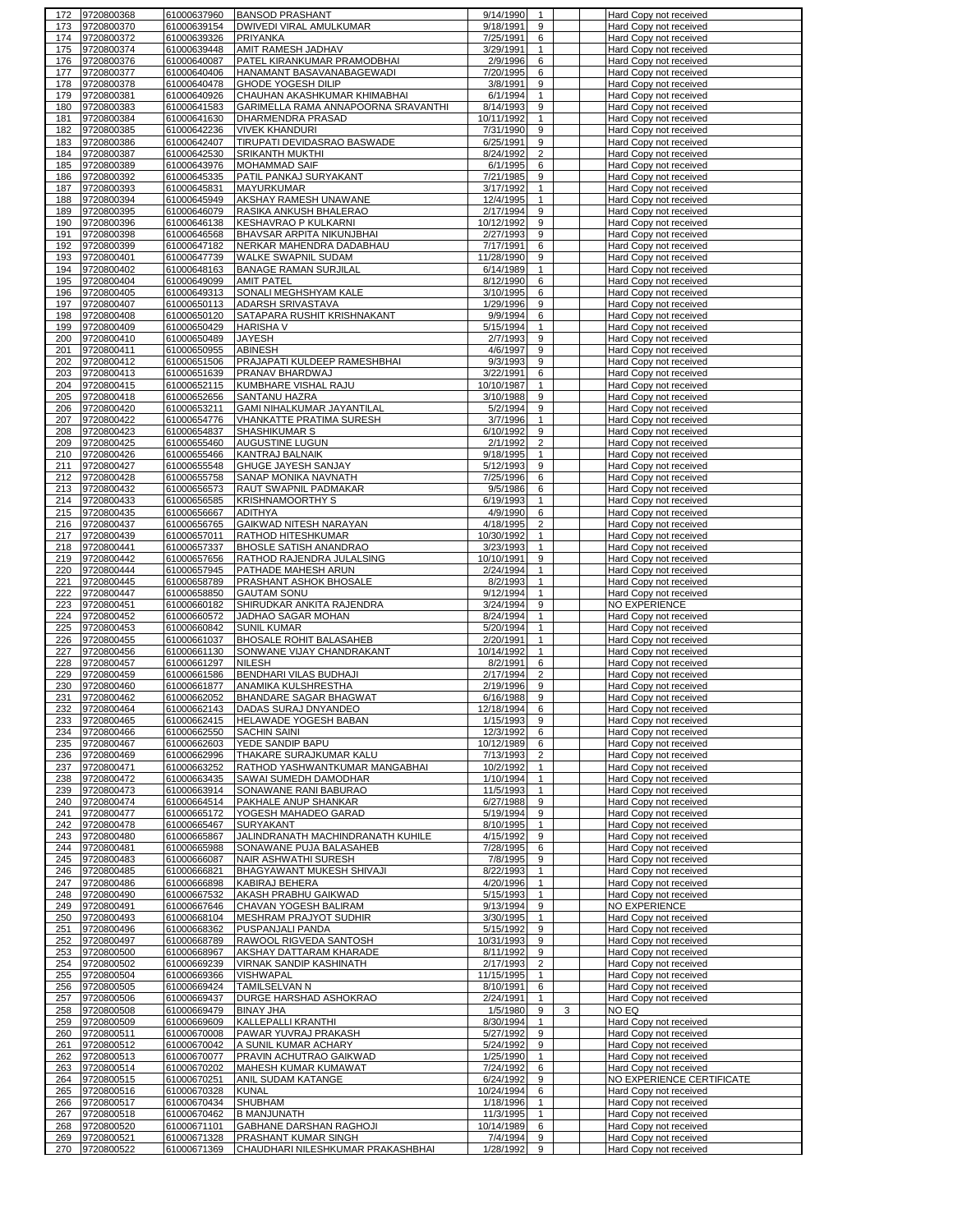| 173<br>174 | 9720800368               | 61000637960                | <b>BANSOD PRASHANT</b>                                      | 9/14/1990<br>1                                          | Hard Copy not received                           |
|------------|--------------------------|----------------------------|-------------------------------------------------------------|---------------------------------------------------------|--------------------------------------------------|
|            | 9720800370               | 61000639154                | DWIVEDI VIRAL AMULKUMAR                                     | 9/18/1991<br>9                                          | Hard Copy not received                           |
|            | 9720800372               | 61000639326                | <b>PRIYANKA</b>                                             | 7/25/1991<br>6                                          | Hard Copy not received                           |
| 175        | 9720800374               | 61000639448                | AMIT RAMESH JADHAV                                          | 3/29/1991<br>$\mathbf{1}$                               | Hard Copy not received                           |
| 176        | 9720800376               | 61000640087                | PATEL KIRANKUMAR PRAMODBHAI                                 | 6<br>2/9/1996                                           | Hard Copy not received                           |
| 177        | 9720800377               | 61000640406                | HANAMANT BASAVANABAGEWADI                                   | 7/20/1995<br>6                                          | Hard Copy not received                           |
| 178        | 9720800378               | 61000640478                | GHODE YOGESH DILIP                                          | 3/8/1991<br>9                                           | Hard Copy not received                           |
| 179        | 9720800381               | 61000640926                | CHAUHAN AKASHKUMAR KHIMABHAI                                | 6/1/1994<br>$\mathbf{1}$                                | Hard Copy not received                           |
| 180        | 9720800383               | 61000641583                | GARIMELLA RAMA ANNAPOORNA SRAVANTHI                         | 9<br>8/14/1993                                          | Hard Copy not received                           |
| 181        | 9720800384               | 61000641630                | DHARMENDRA PRASAD                                           | 10/11/1992<br>$\mathbf{1}$                              | Hard Copy not received                           |
| 182        | 9720800385               | 61000642236                | <b>VIVEK KHANDURI</b>                                       | 7/31/1990<br>9                                          | Hard Copy not received                           |
| 183        | 9720800386               | 61000642407                | TIRUPATI DEVIDASRAO BASWADE                                 | 6/25/1991<br>9                                          | Hard Copy not received                           |
| 184        | 9720800387               | 61000642530                | SRIKANTH MUKTHI                                             | $\overline{c}$<br>8/24/1992                             | Hard Copy not received                           |
| 185        | 9720800389               | 61000643976                | MOHAMMAD SAIF                                               | 6/1/1995<br>6                                           | Hard Copy not received                           |
| 186        | 9720800392<br>9720800393 | 61000645335<br>61000645831 | PATIL PANKAJ SURYAKANT<br><b>MAYURKUMAR</b>                 | 7/21/1985<br>9<br>$\mathbf{1}$                          | Hard Copy not received                           |
| 187<br>188 | 9720800394               | 61000645949                | AKSHAY RAMESH UNAWANE                                       | 3/17/1992<br>$\mathbf{1}$<br>12/4/1995                  | Hard Copy not received<br>Hard Copy not received |
| 189        | 9720800395               | 61000646079                | RASIKA ANKUSH BHALERAO                                      | 2/17/1994<br>9                                          | Hard Copy not received                           |
| 190        | 9720800396               | 61000646138                | KESHAVRAO P KULKARNI                                        | 9<br>10/12/1992                                         | Hard Copy not received                           |
| 191        | 9720800398               | 61000646568                | BHAVSAR ARPITA NIKUNJBHAI                                   | 9<br>2/27/1993                                          | Hard Copy not received                           |
| 192        | 9720800399               | 61000647182                | NERKAR MAHENDRA DADABHAU                                    | 7/17/1991<br>6                                          | Hard Copy not received                           |
| 193        | 9720800401               | 61000647739                | WALKE SWAPNIL SUDAM                                         | 11/28/1990<br>9                                         | Hard Copy not received                           |
| 194        | 9720800402               | 61000648163                | <b>BANAGE RAMAN SURJILAL</b>                                | $\overline{6/14/1989}$<br>$\mathbf{1}$                  | Hard Copy not received                           |
| 195        | 9720800404               | 61000649099                | <b>AMIT PATEL</b>                                           | 8/12/1990<br>6                                          | Hard Copy not received                           |
| 196        | 9720800405               | 61000649313                | SONALI MEGHSHYAM KALE                                       | 3/10/1995<br>6                                          | Hard Copy not received                           |
| 197        | 9720800407               | 61000650113                | <b>ADARSH SRIVASTAVA</b>                                    | 1/29/1996<br>9                                          | Hard Copy not received                           |
| 198        | 9720800408               | 61000650120                | SATAPARA RUSHIT KRISHNAKANT                                 | 9/9/1994<br>6                                           | Hard Copy not received                           |
| 199        | 9720800409               | 61000650429                | <b>HARISHA V</b>                                            | 5/15/1994<br>$\mathbf{1}$                               | Hard Copy not received                           |
| 200        | 9720800410               | 61000650489                | <b>JAYESH</b>                                               | 9<br>2/7/1993                                           | Hard Copy not received                           |
| 201        | 9720800411               | 61000650955                | <b>ABINESH</b>                                              | 4/6/1997<br>9                                           | Hard Copy not received                           |
| 202        | 9720800412               | 61000651506                | PRAJAPATI KULDEEP RAMESHBHAI                                | 9/3/1993<br>9                                           | Hard Copy not received                           |
| 203        | 9720800413               | 61000651639                | PRANAV BHARDWAJ                                             | 3/22/1991<br>6                                          | Hard Copy not received                           |
| 204<br>205 | 9720800415               | 61000652115<br>61000652656 | KUMBHARE VISHAL RAJU<br><b>SANTANU HAZRA</b>                | 10/10/1987<br>$\mathbf{1}$<br>9<br>3/10/1988            | Hard Copy not received<br>Hard Copy not received |
| 206        | 9720800418<br>9720800420 | 61000653211                | GAMI NIHALKUMAR JAYANTILAL                                  | 9<br>5/2/1994                                           |                                                  |
| 207        | 9720800422               | 61000654776                | VHANKATTE PRATIMA SURESH                                    | 3/7/1996<br>$\mathbf{1}$                                | Hard Copy not received<br>Hard Copy not received |
| 208        | 9720800423               | 61000654837                | SHASHIKUMAR S                                               | 6/10/1992<br>9                                          | Hard Copy not received                           |
| 209        | 9720800425               | 61000655460                | AUGUSTINE LUGUN                                             | $\overline{2}$<br>2/1/1992                              | Hard Copy not received                           |
| 210        | 9720800426               | 61000655466                | KANTRAJ BALNAIK                                             | 9/18/1995<br>1                                          | Hard Copy not received                           |
| 211        | 9720800427               | 61000655548                | GHUGE JAYESH SANJAY                                         | 5/12/1993<br>9                                          | Hard Copy not received                           |
| 212        | 9720800428               | 61000655758                | SANAP MONIKA NAVNATH                                        | 7/25/1996<br>6                                          | Hard Copy not received                           |
| 213        | 9720800432               | 61000656573                | RAUT SWAPNIL PADMAKAR                                       | 9/5/1986<br>6                                           | Hard Copy not received                           |
| 214        | 9720800433               | 61000656585                | <b>KRISHNAMOORTHY S</b>                                     | 6/19/1993<br>1                                          | Hard Copy not received                           |
| 215        | 9720800435               | 61000656667                | <b>ADITHYA</b>                                              | 4/9/1990<br>6                                           | Hard Copy not received                           |
| 216<br>217 | 9720800437               | 61000656765                | GAIKWAD NITESH NARAYAN<br><b>RATHOD HITESHKUMAR</b>         | 4/18/1995<br>$\overline{2}$<br>$\mathbf{1}$             | Hard Copy not received                           |
| 218        | 9720800439<br>9720800441 | 61000657011<br>61000657337 | <b>BHOSLE SATISH ANANDRAO</b>                               | 10/30/1992<br>3/23/1993<br>$\mathbf{1}$                 | Hard Copy not received<br>Hard Copy not received |
| 219        | 9720800442               | 61000657656                | RATHOD RAJENDRA JULALSING                                   | 10/10/1991<br>9                                         | Hard Copy not received                           |
| 220        | 9720800444               | 61000657945                | PATHADE MAHESH ARUN                                         | 2/24/1994<br>$\mathbf{1}$                               | Hard Copy not received                           |
| 221        | 9720800445               | 61000658789                | PRASHANT ASHOK BHOSALE                                      | 8/2/1993<br>$\mathbf{1}$                                | Hard Copy not received                           |
| 222        | 9720800447               | 61000658850                | <b>GAUTAM SONU</b>                                          | 9/12/1994<br>$\mathbf{1}$                               | Hard Copy not received                           |
| 223        | 9720800451               | 61000660182                | SHIRUDKAR ANKITA RAJENDRA                                   | 3/24/1994<br>9                                          | <b>NO EXPERIENCE</b>                             |
| 224        | 9720800452               | 61000660572                | JADHAO SAGAR MOHAN                                          | 8/24/1994<br>$\mathbf{1}$                               | Hard Copy not received                           |
| 225        | 9720800453               | 61000660842                | <b>SUNIL KUMAR</b>                                          | 5/20/1994<br>$\mathbf{1}$                               | Hard Copy not received                           |
| 226<br>227 | 9720800455               | 61000661037                | <b>BHOSALE ROHIT BALASAHEB</b><br>SONWANE VIJAY CHANDRAKANT | 2/20/1991<br>$\mathbf{1}$<br>10/14/1992<br>$\mathbf{1}$ | Hard Copy not received<br>Hard Copy not received |
| 228        | 9720800456<br>9720800457 | 61000661130<br>61000661297 | <b>NILESH</b>                                               | 8/2/1991<br>6                                           | Hard Copy not received                           |
| 229        | 9720800459               |                            | BENDHARI VILAS BUDHAJI                                      | 2/17/1994<br>2                                          |                                                  |
| 230        |                          |                            |                                                             |                                                         |                                                  |
|            | 9720800460               | 61000661586<br>61000661877 | ANAMIKA KULSHRESTHA                                         | 9<br>2/19/1996                                          | Hard Copy not received<br>Hard Copy not received |
| 231        | 9720800462               | 61000662052                | <b>BHANDARE SAGAR BHAGWAT</b>                               | 6/16/1988<br>9                                          | Hard Copy not received                           |
|            | 9720800464               | 61000662143                | DADAS SURAJ DNYANDEO                                        | 12/18/1994<br>6                                         | Hard Copy not received                           |
|            | 233 9720800465           | 61000662415                | <b>HELAWADE YOGESH BABAN</b>                                | 9<br>1/15/1993                                          | Hard Copy not received                           |
| 234        | 9720800466               | 61000662550                | <b>SACHIN SAINI</b>                                         | 12/3/1992<br>6                                          | Hard Copy not received                           |
| 235        | 9720800467               | 61000662603                | YEDE SANDIP BAPU                                            | 10/12/1989<br>6                                         | Hard Copy not received                           |
| 236        | 9720800469               | 61000662996                | THAKARE SURAJKUMAR KALU                                     | 7/13/1993<br>$\overline{2}$                             | Hard Copy not received                           |
| 237        | 9720800471               | 61000663252                | RATHOD YASHWANTKUMAR MANGABHAI                              | 10/2/1992<br>$\mathbf{1}$                               | Hard Copy not received                           |
| 238        | 9720800472<br>9720800473 | 61000663435                | SAWAI SUMEDH DAMODHAR                                       | $\mathbf{1}$<br>1/10/1994                               | Hard Copy not received                           |
| 239<br>240 | 9720800474               | 61000663914<br>61000664514 | SONAWANE RANI BABURAO<br>PAKHALE ANUP SHANKAR               | 11/5/1993<br>$\mathbf{1}$<br>6/27/1988<br>9             | Hard Copy not received<br>Hard Copy not received |
| 241        | 9720800477               | 61000665172                | YOGESH MAHADEO GARAD                                        | 5/19/1994<br>9                                          | Hard Copy not received                           |
| 242        | 9720800478               | 61000665467                | <b>SURYAKANT</b>                                            | 8/10/1995<br>$\mathbf{1}$                               | Hard Copy not received                           |
|            | 243 9720800480           | 61000665867                | JALINDRANATH MACHINDRANATH KUHILE                           | 4/15/1992<br>9                                          | Hard Copy not received                           |
| 244        | 9720800481               | 61000665988                | SONAWANE PUJA BALASAHEB                                     | 7/28/1995<br>6                                          | Hard Copy not received                           |
| 245        | 9720800483               | 61000666087                | <b>NAIR ASHWATHI SURESH</b>                                 | 7/8/1995<br>9                                           | Hard Copy not received                           |
| 246        | 9720800485               | 61000666821                | BHAGYAWANT MUKESH SHIVAJI                                   | 8/22/1993<br>$\mathbf{1}$                               | Hard Copy not received                           |
| 247        | 9720800486               | 61000666898                | KABIRAJ BEHERA                                              | 4/20/1996<br>$\mathbf{1}$                               | Hard Copy not received                           |
| 248        | 9720800490               | 61000667532                | AKASH PRABHU GAIKWAD                                        | 5/15/1993<br>$\mathbf{1}$                               | Hard Copy not received                           |
| 249        | 9720800491               | 61000667646                | CHAVAN YOGESH BALIRAM                                       | 9/13/1994<br>9                                          | <b>NO EXPERIENCE</b>                             |
| 250<br>251 | 9720800493<br>9720800496 | 61000668104<br>61000668362 | MESHRAM PRAJYOT SUDHIR<br>PUSPANJALI PANDA                  | 3/30/1995<br>$\mathbf{1}$<br>5/15/1992<br>9             | Hard Copy not received<br>Hard Copy not received |
| 252        | 9720800497               | 61000668789                | RAWOOL RIGVEDA SANTOSH                                      | 10/31/1993<br>9                                         | Hard Copy not received                           |
| 253        | 9720800500               | 61000668967                | AKSHAY DATTARAM KHARADE                                     | 8/11/1992<br>9                                          | Hard Copy not received                           |
| 254        | 9720800502               | 61000669239                | <b>VIRNAK SANDIP KASHINATH</b>                              | 2/17/1993<br>$\overline{2}$                             | Hard Copy not received                           |
| 255        | 9720800504               | 61000669366                | VISHWAPAL                                                   | 11/15/1995<br>$\mathbf{1}$                              | Hard Copy not received                           |
| 256        | 9720800505               | 61000669424                | TAMILSELVAN N                                               | 8/10/1991<br>6                                          | Hard Copy not received                           |
| 257        | 9720800506               | 61000669437                | DURGE HARSHAD ASHOKRAO                                      | 2/24/1991<br>$\mathbf{1}$                               | Hard Copy not received                           |
| 258        | 9720800508               | 61000669479                | <b>BINAY JHA</b>                                            | 1/5/1980<br>9<br>3                                      | NO EQ                                            |
| 259<br>260 | 9720800509<br>9720800511 | 61000669609<br>61000670008 | KALLEPALLI KRANTHI<br>PAWAR YUVRAJ PRAKASH                  | 8/30/1994<br>$\mathbf{1}$<br>5/27/1992<br>9             | Hard Copy not received<br>Hard Copy not received |
| 261        | 9720800512               | 61000670042                | A SUNIL KUMAR ACHARY                                        | 5/24/1992<br>9                                          | Hard Copy not received                           |
| 262        | 9720800513               | 61000670077                | PRAVIN ACHUTRAO GAIKWAD                                     | 1/25/1990<br>1                                          | Hard Copy not received                           |
| 263        | 9720800514               | 61000670202                | MAHESH KUMAR KUMAWAT                                        | 7/24/1992<br>6                                          | Hard Copy not received                           |
| 264        | 9720800515               | 61000670251                | ANIL SUDAM KATANGE                                          | 6/24/1992<br>9                                          | NO EXPERIENCE CERTIFICATE                        |
| 265        | 9720800516               | 61000670328                | <b>KUNAL</b>                                                | 10/24/1994<br>6                                         | Hard Copy not received                           |
| 266        | 9720800517               | 61000670434                | <b>SHUBHAM</b>                                              | 1/18/1996<br>1                                          | Hard Copy not received                           |
| 267<br>268 | 9720800518               | 61000670462                | <b>B MANJUNATH</b>                                          | 11/3/1995<br>$\mathbf{1}$<br>10/14/1989                 | Hard Copy not received                           |
| 269        | 9720800520<br>9720800521 | 61000671101<br>61000671328 | GABHANE DARSHAN RAGHOJI<br>PRASHANT KUMAR SINGH             | 6<br>7/4/1994<br>9                                      | Hard Copy not received<br>Hard Copy not received |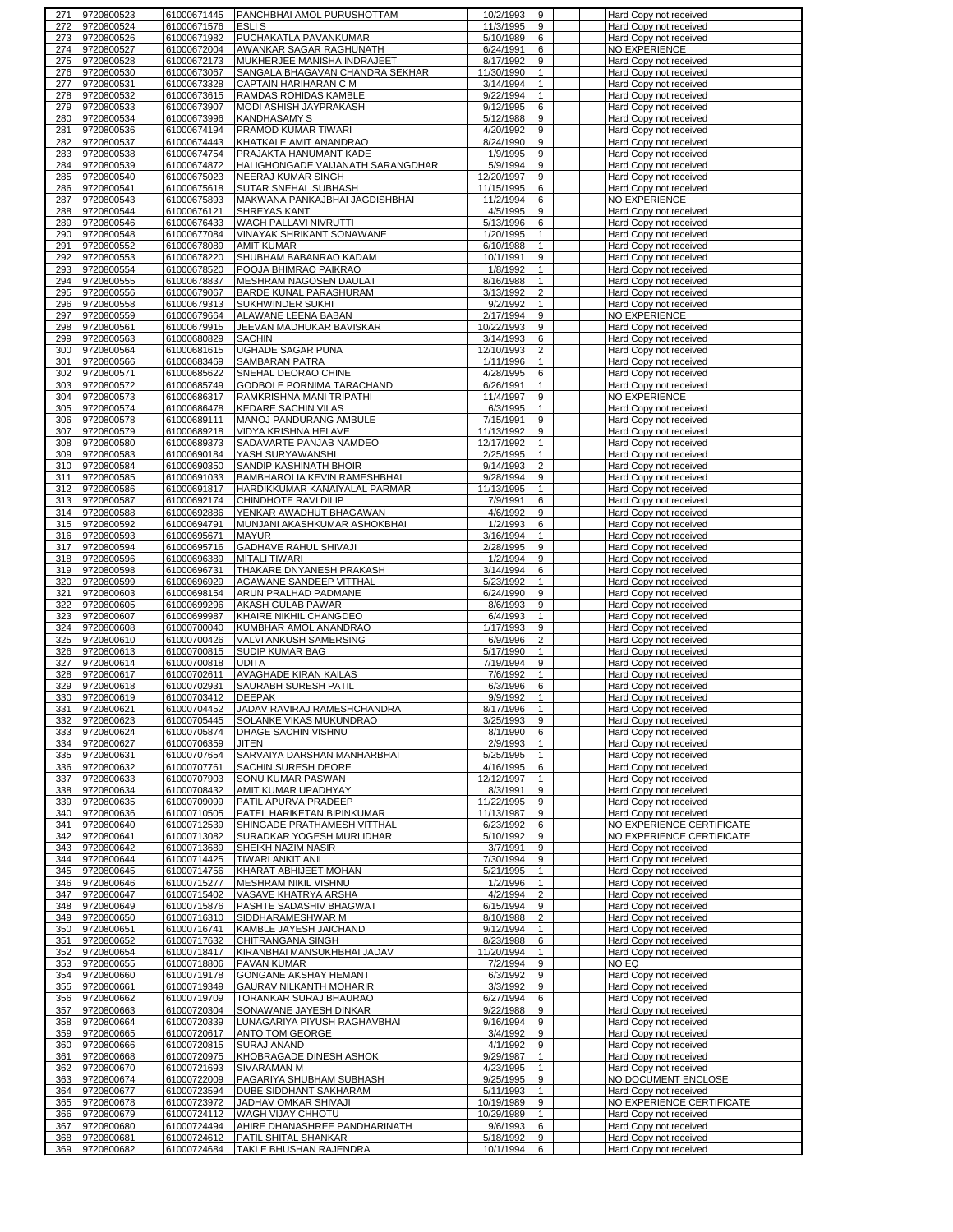| 272        | 9720800523               | 61000671445                | <b>PANCHBHAI AMOL PURUSHOTTAM</b>                     | 10/2/1993<br>9                   | Hard Copy not received                           |
|------------|--------------------------|----------------------------|-------------------------------------------------------|----------------------------------|--------------------------------------------------|
|            | 9720800524               | 61000671576                | <b>ESLIS</b>                                          | 11/3/1995<br>9                   | Hard Copy not received                           |
| 273        | 9720800526               | 61000671982                | PUCHAKATLA PAVANKUMAR                                 | 5/10/1989<br>6                   | Hard Copy not received                           |
| 274        | 9720800527               | 61000672004                | AWANKAR SAGAR RAGHUNATH                               | 6/24/1991<br>6                   | NO EXPERIENCE                                    |
| 275        | 9720800528               | 61000672173                | MUKHERJEE MANISHA INDRAJEET                           | 8/17/1992<br>9                   | Hard Copy not received                           |
| 276        | 9720800530               | 61000673067                | SANGALA BHAGAVAN CHANDRA SEKHAR                       | 11/30/1990<br>$\mathbf{1}$       | Hard Copy not received                           |
|            |                          |                            |                                                       | 3/14/1994                        |                                                  |
| 277        | 9720800531               | 61000673328                | CAPTAIN HARIHARAN C M                                 | $\mathbf{1}$                     | Hard Copy not received                           |
| 278        | 9720800532               | 61000673615                | RAMDAS ROHIDAS KAMBLE                                 | 9/22/1994<br>$\mathbf{1}$        | Hard Copy not received                           |
| 279        | 9720800533               | 61000673907                | MODI ASHISH JAYPRAKASH                                | 9/12/1995<br>6                   | Hard Copy not received                           |
| 280        | 9720800534               | 61000673996                | KANDHASAMY S                                          | 5/12/1988<br>9                   | Hard Copy not received                           |
| 281        | 9720800536               | 61000674194                | PRAMOD KUMAR TIWARI                                   | 4/20/1992<br>9                   | Hard Copy not received                           |
| 282        | 9720800537               | 61000674443                | KHATKALE AMIT ANANDRAO                                | 8/24/1990<br>9                   | Hard Copy not received                           |
| 283        | 9720800538               | 61000674754                | PRAJAKTA HANUMANT KADE                                | 1/9/1995<br>9                    | Hard Copy not received                           |
| 284        | 9720800539               | 61000674872                | HALIGHONGADE VAIJANATH SARANGDHAR                     | 5/9/1994<br>9                    | Hard Copy not received                           |
|            |                          |                            |                                                       |                                  |                                                  |
| 285        | 9720800540               | 61000675023                | <b>NEERAJ KUMAR SINGH</b>                             | 12/20/1997<br>9                  | Hard Copy not received                           |
| 286        | 9720800541               | 61000675618                | SUTAR SNEHAL SUBHASH                                  | 11/15/1995<br>6                  | Hard Copy not received                           |
| 287        | 9720800543               | 61000675893                | MAKWANA PANKAJBHAI JAGDISHBHAI                        | 11/2/1994<br>6                   | <b>NO EXPERIENCE</b>                             |
| 288        | 9720800544               | 61000676121                | SHREYAS KANT                                          | 4/5/1995<br>9                    | Hard Copy not received                           |
| 289        | 9720800546               | 61000676433                | WAGH PALLAVI NIVRUTTI                                 | 5/13/1996<br>6                   | Hard Copy not received                           |
| 290        | 9720800548               | 61000677084                | VINAYAK SHRIKANT SONAWANE                             | 1/20/1995<br>$\mathbf{1}$        | Hard Copy not received                           |
| 291        | 9720800552               | 61000678089                | <b>AMIT KUMAR</b>                                     | 6/10/1988<br>$\mathbf{1}$        | Hard Copy not received                           |
|            |                          |                            |                                                       |                                  |                                                  |
| 292        | 9720800553               | 61000678220                | SHUBHAM BABANRAO KADAM                                | 9<br>10/1/1991                   | Hard Copy not received                           |
| 293        | 9720800554               | 61000678520                | POOJA BHIMRAO PAIKRAO                                 | 1/8/1992<br>$\mathbf{1}$         | Hard Copy not received                           |
| 294        | 9720800555               | 61000678837                | MESHRAM NAGOSEN DAULAT                                | 8/16/1988<br>$\mathbf{1}$        | Hard Copy not received                           |
| 295        | 9720800556               | 61000679067                | BARDE KUNAL PARASHURAM                                | 3/13/1992<br>$\overline{2}$      | Hard Copy not received                           |
| 296        | 9720800558               | 61000679313                | SUKHWINDER SUKHI                                      | 9/2/1992<br>$\mathbf{1}$         | Hard Copy not received                           |
| 297        | 9720800559               | 61000679664                | ALAWANE LEENA BABAN                                   | 9<br>2/17/1994                   | <b>NO EXPERIENCE</b>                             |
| 298        | 9720800561               | 61000679915                | JEEVAN MADHUKAR BAVISKAR                              | 10/22/1993<br>9                  | Hard Copy not received                           |
|            |                          |                            |                                                       |                                  |                                                  |
| 299        | 9720800563               | 61000680829                | <b>SACHIN</b>                                         | 3/14/1993<br>6                   | Hard Copy not received                           |
| 300        | 9720800564               | 61000681615                | UGHADE SAGAR PUNA                                     | 12/10/1993<br>2                  | Hard Copy not received                           |
| 301        | 9720800566               | 61000683469                | SAMBARAN PATRA                                        | 1/11/1996<br>1                   | Hard Copy not received                           |
| 302        | 9720800571               | 61000685622                | SNEHAL DEORAO CHINE                                   | 4/28/1995<br>6                   | Hard Copy not received                           |
| 303        | 9720800572               | 61000685749                | GODBOLE PORNIMA TARACHAND                             | 6/26/1991<br>$\mathbf{1}$        | Hard Copy not received                           |
| 304        | 9720800573               | 61000686317                | RAMKRISHNA MANI TRIPATHI                              | 9<br>11/4/1997                   | <b>NO EXPERIENCE</b>                             |
| 305        | 9720800574               | 61000686478                | KEDARE SACHIN VILAS                                   | 6/3/1995<br>$\mathbf{1}$         | Hard Copy not received                           |
|            |                          |                            |                                                       | 9                                |                                                  |
| 306        | 9720800578               | 61000689111                | MANOJ PANDURANG AMBULE                                | 7/15/1991                        | Hard Copy not received                           |
| 307        | 9720800579               | 61000689218                | VIDYA KRISHNA HELAVE                                  | 11/13/1992<br>9                  | Hard Copy not received                           |
| 308        | 9720800580               | 61000689373                | SADAVARTE PANJAB NAMDEO                               | 12/17/1992<br>$\mathbf{1}$       | Hard Copy not received                           |
| 309        | 9720800583               | 61000690184                | YASH SURYAWANSHI                                      | 2/25/1995<br>$\mathbf{1}$        | Hard Copy not received                           |
| 310        | 9720800584               | 61000690350                | SANDIP KASHINATH BHOIR                                | 9/14/1993<br>$\overline{2}$      | Hard Copy not received                           |
| 311        | 9720800585               | 61000691033                | BAMBHAROLIA KEVIN RAMESHBHAI                          | 9/28/1994<br>9                   | Hard Copy not received                           |
| 312        | 9720800586               | 61000691817                | HARDIKKUMAR KANAIYALAL PARMAR                         | 11/13/1995<br>$\mathbf{1}$       | Hard Copy not received                           |
|            |                          |                            |                                                       | 6                                |                                                  |
| 313        | 9720800587               | 61000692174                | CHINDHOTE RAVI DILIP                                  | 7/9/1991                         | Hard Copy not received                           |
| 314        | 9720800588               | 61000692886                | YENKAR AWADHUT BHAGAWAN                               | 4/6/1992<br>9                    | Hard Copy not received                           |
| 315        | 9720800592               | 61000694791                | MUNJANI AKASHKUMAR ASHOKBHAI                          | 1/2/1993<br>6                    | Hard Copy not received                           |
| 316        | 9720800593               | 61000695671                | <b>MAYUR</b>                                          | 3/16/1994<br>$\mathbf{1}$        | Hard Copy not received                           |
| 317        | 9720800594               | 61000695716                | <b>GADHAVE RAHUL SHIVAJI</b>                          | 2/28/1995<br>9                   | Hard Copy not received                           |
| 318        | 9720800596               | 61000696389                | <b>MITALI TIWARI</b>                                  | 1/2/1994<br>9                    | Hard Copy not received                           |
| 319        | 9720800598               | 61000696731                | THAKARE DNYANESH PRAKASH                              | 3/14/1994<br>6                   | Hard Copy not received                           |
|            |                          |                            |                                                       |                                  |                                                  |
| 320        | 9720800599               | 61000696929                | AGAWANE SANDEEP VITTHAL                               | 5/23/1992<br>$\mathbf{1}$        | Hard Copy not received                           |
| 321        | 9720800603               | 61000698154                | ARUN PRALHAD PADMANE                                  | 9<br>6/24/1990                   | Hard Copy not received                           |
| 322        | 9720800605               | 61000699296                | AKASH GULAB PAWAR                                     | 9<br>8/6/1993                    | Hard Copy not received                           |
| 323        | 9720800607               | 61000699987                | KHAIRE NIKHIL CHANGDEO                                | 6/4/1993<br>$\mathbf{1}$         | Hard Copy not received                           |
| 324        | 9720800608               | 61000700040                | KUMBHAR AMOL ANANDRAO                                 | 1/17/1993<br>9                   | Hard Copy not received                           |
| 325        | 9720800610               | 61000700426                | VALVI ANKUSH SAMERSING                                | $\overline{2}$<br>6/9/1996       | Hard Copy not received                           |
| 326        | 9720800613               | 61000700815                | SUDIP KUMAR BAG                                       | 5/17/1990<br>1                   | Hard Copy not received                           |
|            |                          |                            |                                                       | 7/19/1994                        | Hard Copy not received                           |
| 327        | 9720800614               | 61000700818                | <b>UDITA</b>                                          | 9                                |                                                  |
| 328        | 9720800617               |                            | AVAGHADE KIRAN KAILAS                                 |                                  |                                                  |
|            |                          | 61000702611                |                                                       | 7/6/1992<br>$\mathbf{1}$         | Hard Copy not received                           |
| 329        | 9720800618               | 61000702931                | SAURABH SURESH PATIL                                  | 6/3/1996<br>6                    | Hard Copy not received                           |
| 330        | 9720800619               | 61000703412                | <b>DEEPAK</b>                                         | 9/9/1992<br>$\mathbf{1}$         | Hard Copy not received                           |
| 331        |                          | 61000704452                | JADAV RAVIRAJ RAMESHCHANDRA                           | $\overline{1}$                   |                                                  |
|            | 9720800621               |                            |                                                       | 8/17/1996                        | Hard Copy not received                           |
| 332        | 9720800623               | 61000705445                | SOLANKE VIKAS MUKUNDRAO                               | 3/25/1993<br>9                   | Hard Copy not received                           |
| 333        | 9720800624               | 61000705874                | DHAGE SACHIN VISHNU                                   | 8/1/1990<br>6                    | Hard Copy not received                           |
| 334        | 9720800627               | 61000706359                | <b>JITEN</b>                                          | 2/9/1993<br>$\mathbf{1}$         | Hard Copy not received                           |
| 335        | 9720800631               | 61000707654                | SARVAIYA DARSHAN MANHARBHAI                           | 5/25/1995<br>$\mathbf{1}$        | Hard Copy not received                           |
| 336        | 9720800632               | 61000707761                | SACHIN SURESH DEORE                                   | 4/16/1995<br>6                   | Hard Copy not received                           |
| 337        | 9720800633               | 61000707903                | SONU KUMAR PASWAN                                     | 12/12/1997<br>$\mathbf{1}$       | Hard Copy not received                           |
| 338        | 9720800634               | 61000708432                | AMIT KUMAR UPADHYAY                                   | 8/3/1991<br>9                    | Hard Copy not received                           |
| 339        | 9720800635               | 61000709099                | PATIL APURVA PRADEEP                                  | 11/22/1995<br>9                  | Hard Copy not received                           |
| 340        | 9720800636               | 61000710505                | PATEL HARIKETAN BIPINKUMAR                            | 11/13/1987<br>9                  | Hard Copy not received                           |
|            |                          |                            |                                                       |                                  |                                                  |
| 341        | 9720800640               | 61000712539                | SHINGADE PRATHAMESH VITTHAL                           | 6/23/1992<br>6                   | NO EXPERIENCE CERTIFICATE                        |
| 342        | 9720800641               | 61000713082                | SURADKAR YOGESH MURLIDHAR                             | 5/10/1992<br>9                   | NO EXPERIENCE CERTIFICATE                        |
| 343        | 9720800642               | 61000713689                | SHEIKH NAZIM NASIR                                    | 3/7/1991<br>9                    | Hard Copy not received                           |
| 344        | 9720800644               | 61000714425                | <b>TIWARI ANKIT ANIL</b>                              | 7/30/1994<br>9                   | Hard Copy not received                           |
| 345        | 9720800645               | 61000714756                | KHARAT ABHIJEET MOHAN                                 | 5/21/1995<br>$\mathbf{1}$        | Hard Copy not received                           |
| 346        | 9720800646               | 61000715277                | <b>MESHRAM NIKIL VISHNU</b>                           | $\mathbf{1}$<br>1/2/1996         | Hard Copy not received                           |
| 347        | 9720800647               | 61000715402                | VASAVE KHATRYA ARSHA                                  | 4/2/1994<br>$\overline{2}$       | Hard Copy not received                           |
| 348        | 9720800649               | 61000715876                | PASHTE SADASHIV BHAGWAT                               | 6/15/1994<br>9                   | Hard Copy not received                           |
|            |                          |                            |                                                       |                                  |                                                  |
| 349        | 9720800650               | 61000716310                | SIDDHARAMESHWAR M                                     | 8/10/1988<br>$\overline{2}$      | Hard Copy not received                           |
| 350        | 9720800651               | 61000716741                | KAMBLE JAYESH JAICHAND                                | 9/12/1994<br>$\mathbf{1}$        | Hard Copy not received                           |
| 351        | 9720800652               | 61000717632                | CHITRANGANA SINGH                                     | 6<br>8/23/1988                   | Hard Copy not received                           |
| 352        | 9720800654               | 61000718417                | KIRANBHAI MANSUKHBHAI JADAV                           | 11/20/1994<br>$\mathbf{1}$       | Hard Copy not received                           |
| 353        | 9720800655               | 61000718806                | PAVAN KUMAR                                           | 7/2/1994<br>9                    | NO EQ                                            |
| 354        | 9720800660               | 61000719178                | GONGANE AKSHAY HEMANT                                 | 6/3/1992<br>9                    | Hard Copy not received                           |
| 355        | 9720800661               | 61000719349                | GAURAV NILKANTH MOHARIR                               | 3/3/1992<br>9                    | Hard Copy not received                           |
|            |                          |                            |                                                       | 6                                |                                                  |
| 356        | 9720800662               | 61000719709                | TORANKAR SURAJ BHAURAO                                | 6/27/1994                        | Hard Copy not received                           |
| 357        | 9720800663               | 61000720304                | SONAWANE JAYESH DINKAR                                | 9/22/1988<br>9                   | Hard Copy not received                           |
| 358        | 9720800664               | 61000720339                | LUNAGARIYA PIYUSH RAGHAVBHAI                          | 9/16/1994<br>9                   | Hard Copy not received                           |
| 359        | 9720800665               | 61000720617                | ANTO TOM GEORGE                                       | 3/4/1992<br>9                    | Hard Copy not received                           |
| 360        | 9720800666               | 61000720815                | SURAJ ANAND                                           | 4/1/1992<br>9                    | Hard Copy not received                           |
| 361        | 9720800668               | 61000720975                | KHOBRAGADE DINESH ASHOK                               | 9/29/1987<br>$\mathbf{1}$        | Hard Copy not received                           |
| 362        | 9720800670               | 61000721693                | SIVARAMAN M                                           | 4/23/1995<br>$\mathbf{1}$        | Hard Copy not received                           |
| 363        | 9720800674               | 61000722009                | PAGARIYA SHUBHAM SUBHASH                              | 9/25/1995<br>9                   | NO DOCUMENT ENCLOSE                              |
|            |                          |                            |                                                       |                                  |                                                  |
| 364        | 9720800677               | 61000723594                | DUBE SIDDHANT SAKHARAM                                | 5/11/1993<br>$\mathbf{1}$        | Hard Copy not received                           |
| 365        | 9720800678               | 61000723972                | JADHAV OMKAR SHIVAJI                                  | 10/19/1989<br>9                  | NO EXPERIENCE CERTIFICATE                        |
| 366        | 9720800679               | 61000724112                | WAGH VIJAY CHHOTU                                     | 10/29/1989<br>$\mathbf{1}$       | Hard Copy not received                           |
| 367        | 9720800680               | 61000724494                | AHIRE DHANASHREE PANDHARINATH                         | 6<br>9/6/1993                    | Hard Copy not received                           |
| 368<br>369 | 9720800681<br>9720800682 | 61000724612<br>61000724684 | PATIL SHITAL SHANKAR<br><b>TAKLE BHUSHAN RAJENDRA</b> | 5/18/1992<br>9<br>10/1/1994<br>6 | Hard Copy not received<br>Hard Copy not received |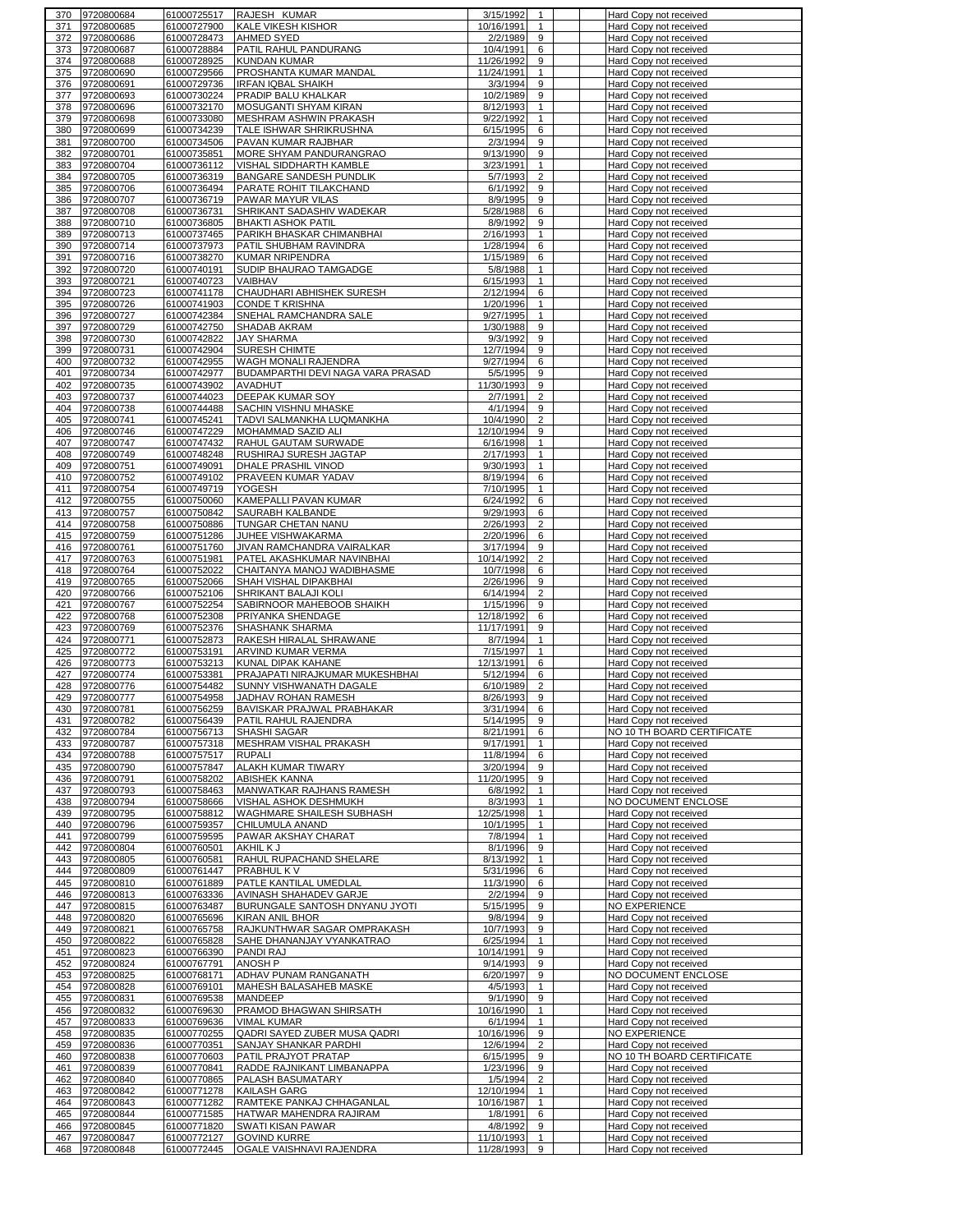| 371        | 9720800684               | 61000725517                | RAJESH KUMAR                                    | 3/15/1992                                     | Hard Copy not received                           |
|------------|--------------------------|----------------------------|-------------------------------------------------|-----------------------------------------------|--------------------------------------------------|
|            | 9720800685               | 61000727900                | <b>KALE VIKESH KISHOR</b>                       | 10/16/1991<br>1                               | Hard Copy not received                           |
| 372        | 9720800686               | 61000728473                | <b>AHMED SYED</b>                               | 2/2/1989<br>9                                 | Hard Copy not received                           |
| 373        | 9720800687               | 61000728884                | PATIL RAHUL PANDURANG                           | 10/4/1991<br>6                                | Hard Copy not received                           |
| 374        | 9720800688               | 61000728925                | <b>KUNDAN KUMAR</b>                             | 11/26/1992<br>9                               | Hard Copy not received                           |
| 375        | 9720800690               | 61000729566                | PROSHANTA KUMAR MANDAL                          | 11/24/1991<br>1                               | Hard Copy not received                           |
| 376        | 9720800691               | 61000729736                | <b>IRFAN IQBAL SHAIKH</b>                       | 3/3/1994<br>9                                 | Hard Copy not received                           |
| 377        | 9720800693               |                            |                                                 | 10/2/1989<br>9                                |                                                  |
|            |                          | 61000730224                | PRADIP BALU KHALKAR                             |                                               | Hard Copy not received                           |
| 378        | 9720800696               | 61000732170                | MOSUGANTI SHYAM KIRAN                           | 8/12/1993<br>$\mathbf{1}$                     | Hard Copy not received                           |
| 379        | 9720800698               | 61000733080                | MESHRAM ASHWIN PRAKASH                          | 9/22/1992<br>$\mathbf{1}$                     | Hard Copy not received                           |
| 380        | 9720800699               | 61000734239                | TALE ISHWAR SHRIKRUSHNA                         | 6/15/1995<br>6                                | Hard Copy not received                           |
| 381        | 9720800700               | 61000734506                | PAVAN KUMAR RAJBHAR                             | 2/3/1994<br>9                                 | Hard Copy not received                           |
| 382        | 9720800701               | 61000735851                | MORE SHYAM PANDURANGRAO                         | 9/13/1990<br>9                                | Hard Copy not received                           |
| 383        | 9720800704               | 61000736112                | VISHAL SIDDHARTH KAMBLE                         | 3/23/1991<br>$\mathbf{1}$                     | Hard Copy not received                           |
| 384        | 9720800705               | 61000736319                | <b>BANGARE SANDESH PUNDLIK</b>                  | 5/7/1993<br>$\overline{2}$                    | Hard Copy not received                           |
| 385        | 9720800706               | 61000736494                | PARATE ROHIT TILAKCHAND                         | 6/1/1992<br>9                                 | Hard Copy not received                           |
| 386        | 9720800707               | 61000736719                | PAWAR MAYUR VILAS                               | 8/9/1995<br>9                                 | Hard Copy not received                           |
|            | 9720800708               | 61000736731                | SHRIKANT SADASHIV WADEKAR                       | 5/28/1988<br>6                                |                                                  |
| 387        |                          |                            |                                                 |                                               | Hard Copy not received                           |
| 388        | 9720800710               | 61000736805                | <b>BHAKTI ASHOK PATIL</b>                       | 8/9/1992<br>9                                 | Hard Copy not received                           |
| 389        | 9720800713               | 61000737465                | PARIKH BHASKAR CHIMANBHAI                       | 2/16/1993<br>$\mathbf{1}$                     | Hard Copy not received                           |
| 390        | 9720800714               | 61000737973                | PATIL SHUBHAM RAVINDRA                          | 1/28/1994<br>6                                | Hard Copy not received                           |
| 391        | 9720800716               | 61000738270                | <b>KUMAR NRIPENDRA</b>                          | 1/15/1989<br>6                                | Hard Copy not received                           |
| 392        | 9720800720               | 61000740191                | SUDIP BHAURAO TAMGADGE                          | 5/8/1988<br>$\mathbf{1}$                      | Hard Copy not received                           |
| 393        | 9720800721               | 61000740723                | <b>VAIBHAV</b>                                  | 6/15/1993<br>$\mathbf{1}$                     | Hard Copy not received                           |
| 394        | 9720800723               | 61000741178                | CHAUDHARI ABHISHEK SURESH                       | 2/12/1994<br>6                                | Hard Copy not received                           |
| 395        | 9720800726               | 61000741903                | <b>CONDE T KRISHNA</b>                          | 1/20/1996<br>$\mathbf{1}$                     | Hard Copy not received                           |
| 396        | 9720800727               | 61000742384                | SNEHAL RAMCHANDRA SALE                          | 9/27/1995<br>1                                | Hard Copy not received                           |
| 397        | 9720800729               | 61000742750                | SHADAB AKRAM                                    | 1/30/1988<br>9                                | Hard Copy not received                           |
| 398        | 9720800730               | 61000742822                | <b>JAY SHARMA</b>                               | 9/3/1992<br>9                                 | Hard Copy not received                           |
|            | 9720800731               | 61000742904                | SURESH CHIMTE                                   |                                               |                                                  |
| 399        |                          |                            |                                                 | 12/7/1994<br>9                                | Hard Copy not received                           |
| 400        | 9720800732               | 61000742955                | WAGH MONALI RAJENDRA                            | 9/27/1994<br>6                                | Hard Copy not received                           |
| 401        | 9720800734               | 61000742977                | BUDAMPARTHI DEVI NAGA VARA PRASAD               | 5/5/1995<br>9                                 | Hard Copy not received                           |
| 402        | 9720800735               | 61000743902                | <b>AVADHUT</b>                                  | 11/30/1993<br>9                               | Hard Copy not received                           |
| 403        | 9720800737               | 61000744023                | <b>DEEPAK KUMAR SOY</b>                         | 2/7/1991<br>$\overline{2}$                    | Hard Copy not received                           |
| 404        | 9720800738               | 61000744488                | <b>SACHIN VISHNU MHASKE</b>                     | 4/1/1994<br>9                                 | Hard Copy not received                           |
| 405        | 9720800741               | 61000745241                | TADVI SALMANKHA LUQMANKHA                       | 10/4/1990<br>2                                | Hard Copy not received                           |
| 406        | 9720800746               | 61000747229                | MOHAMMAD SAZID ALI                              | 12/10/1994<br>9                               | Hard Copy not received                           |
| 407        | 9720800747               | 61000747432                | RAHUL GAUTAM SURWADE                            | 6/16/1998<br>$\mathbf{1}$                     | Hard Copy not received                           |
| 408        | 9720800749               | 61000748248                | RUSHIRAJ SURESH JAGTAP                          | 2/17/1993<br>$\mathbf{1}$                     | Hard Copy not received                           |
| 409        | 9720800751               | 61000749091                | DHALE PRASHIL VINOD                             | 9/30/1993<br>$\mathbf{1}$                     | Hard Copy not received                           |
|            | 9720800752               |                            | PRAVEEN KUMAR YADAV                             | 8/19/1994<br>6                                |                                                  |
| 410        |                          | 61000749102                |                                                 |                                               | Hard Copy not received                           |
| 411        | 9720800754               | 61000749719                | YOGESH                                          | 7/10/1995<br>$\mathbf{1}$                     | Hard Copy not received                           |
| 412        | 9720800755               | 61000750060                | KAMEPALLI PAVAN KUMAR                           | 6/24/1992<br>6                                | Hard Copy not received                           |
| 413        | 9720800757               | 61000750842                | SAURABH KALBANDE                                | 9/29/1993<br>6                                | Hard Copy not received                           |
| 414        | 9720800758               | 61000750886                | TUNGAR CHETAN NANU                              | 2/26/1993<br>$\overline{2}$                   | Hard Copy not received                           |
| 415        | 9720800759               | 61000751286                | JUHEE VISHWAKARMA                               | 2/20/1996<br>6                                | Hard Copy not received                           |
| 416        | 9720800761               | 61000751760                | JIVAN RAMCHANDRA VAIRALKAR                      | 3/17/1994<br>9                                | Hard Copy not received                           |
| 417        | 9720800763               | 61000751981                | PATEL AKASHKUMAR NAVINBHAI                      | 10/14/1992<br>2                               | Hard Copy not received                           |
| 418        | 9720800764               | 61000752022                | CHAITANYA MANOJ WADIBHASME                      | 10/7/1998<br>6                                | Hard Copy not received                           |
| 419        | 9720800765               | 61000752066                | SHAH VISHAL DIPAKBHAI                           | 2/26/1996<br>9                                | Hard Copy not received                           |
| 420        | 9720800766               | 61000752106                | SHRIKANT BALAJI KOLI                            | 6/14/1994<br>$\overline{2}$                   | Hard Copy not received                           |
| 421        | 9720800767               |                            |                                                 | 1/15/1996<br>9                                |                                                  |
|            |                          | 61000752254                | SABIRNOOR MAHEBOOB SHAIKH                       |                                               | Hard Copy not received                           |
|            |                          |                            |                                                 |                                               |                                                  |
| 422        | 9720800768               | 61000752308                | PRIYANKA SHENDAGE                               | 12/18/1992<br>6                               | Hard Copy not received                           |
| 423        | 9720800769               | 61000752376                | SHASHANK SHARMA                                 | 11/17/1991<br>9                               | Hard Copy not received                           |
| 424        | 9720800771               | 61000752873                | RAKESH HIRALAL SHRAWANE                         | 8/7/1994<br>$\mathbf{1}$                      | Hard Copy not received                           |
| 425        | 9720800772               | 61000753191                | ARVIND KUMAR VERMA                              | 7/15/1997<br>1                                | Hard Copy not received                           |
| 426        | 9720800773               | 61000753213                | KUNAL DIPAK KAHANE                              | 12/13/1991<br>6                               | Hard Copy not received                           |
| 427        | 9720800774               | 61000753381                | PRAJAPATI NIRAJKUMAR MUKESHBHAI                 | 5/12/1994<br>6                                | Hard Copy not received                           |
| 428        | 9720800776               | 61000754482                | SUNNY VISHWANATH DAGALE                         | 6/10/1989<br>$\overline{2}$                   | Hard Copy not received                           |
|            |                          |                            |                                                 |                                               |                                                  |
| 429        | 9720800777               | 61000754958                | JADHAV ROHAN RAMESH                             | 8/26/1993<br>9<br>$\epsilon$                  | Hard Copy not received                           |
| 430        | 9720800781               | 61000756259                | BAVISKAR PRAJWAL PRABHAKAR                      | 3/31/1994                                     | Hard Copy not received                           |
| 431        | 9720800782               | 61000756439                | PATIL RAHUL RAJENDRA                            | 5/14/1995<br>9                                | Hard Copy not received                           |
| 432        | 9720800784               | 61000756713                | SHASHI SAGAR                                    | 8/21/1991<br>6                                | NO 10 TH BOARD CERTIFICATE                       |
| 433        | 9720800787               | 61000757318                | MESHRAM VISHAL PRAKASH                          | 9/17/1991<br>$\mathbf{1}$                     | Hard Copy not received                           |
| 434        | 9720800788               | 61000757517                | <b>RUPALI</b>                                   | 11/8/1994<br>6                                | Hard Copy not received                           |
| 435        | 9720800790               | 61000757847                | ALAKH KUMAR TIWARY                              | 3/20/1994<br>9                                | Hard Copy not received                           |
| 436        | 9720800791               | 61000758202                | ABISHEK KANNA                                   | 9<br>11/20/1995                               | Hard Copy not received                           |
| 437        | 9720800793               | 61000758463                | MANWATKAR RAJHANS RAMESH                        | 6/8/1992<br>$\mathbf{1}$                      | Hard Copy not received                           |
| 438        | 9720800794               | 61000758666                | VISHAL ASHOK DESHMUKH                           | 8/3/1993<br>$\mathbf{1}$                      | NO DOCUMENT ENCLOSE                              |
| 439        | 9720800795               | 61000758812                | WAGHMARE SHAILESH SUBHASH                       | 12/25/1998<br>$\mathbf{1}$                    | Hard Copy not received                           |
| 440        | 9720800796               | 61000759357                | CHILUMULA ANAND                                 | 10/1/1995<br>$\mathbf{1}$                     | Hard Copy not received                           |
| 441        | 9720800799               | 61000759595                | PAWAR AKSHAY CHARAT                             | $\mathbf{1}$<br>7/8/1994                      | Hard Copy not received                           |
| 442        | 9720800804               | 61000760501                | AKHIL K J                                       | 8/1/1996<br>9                                 | Hard Copy not received                           |
| 443        | 9720800805               | 61000760581                | RAHUL RUPACHAND SHELARE                         | 8/13/1992<br>$\mathbf{1}$                     | Hard Copy not received                           |
| 444        | 9720800809               | 61000761447                | PRABHUL K V                                     | 5/31/1996<br>6                                | Hard Copy not received                           |
|            |                          |                            |                                                 |                                               |                                                  |
| 445        | 9720800810               | 61000761889                | PATLE KANTILAL UMEDLAL                          | 11/3/1990<br>6                                | Hard Copy not received                           |
| 446        | 9720800813               | 61000763336                | AVINASH SHAHADEV GARJE                          | 2/2/1994<br>9                                 | Hard Copy not received                           |
| 447        | 9720800815               | 61000763487                | BURUNGALE SANTOSH DNYANU JYOTI                  | 5/15/1995<br>9                                | <b>NO EXPERIENCE</b>                             |
| 448        | 9720800820               | 61000765696                | <b>KIRAN ANIL BHOR</b>                          | 9/8/1994<br>9                                 | Hard Copy not received                           |
| 449        | 9720800821               | 61000765758                | RAJKUNTHWAR SAGAR OMPRAKASH                     | 9<br>10/7/1993                                | Hard Copy not received                           |
| 450        | 9720800822               | 61000765828                | SAHE DHANANJAY VYANKATRAO                       | 6/25/1994<br>$\mathbf{1}$                     | Hard Copy not received                           |
| 451        | 9720800823               | 61000766390                | PANDI RAJ                                       | 10/14/1991<br>9                               | Hard Copy not received                           |
| 452        | 9720800824               | 61000767791                | ANOSH P                                         | 9/14/1993<br>9                                | Hard Copy not received                           |
| 453        | 9720800825               | 61000768171                | ADHAV PUNAM RANGANATH                           | 6/20/1997<br>9                                | NO DOCUMENT ENCLOSE                              |
| 454        | 9720800828               | 61000769101                | MAHESH BALASAHEB MASKE                          | 4/5/1993<br>$\mathbf{1}$                      | Hard Copy not received                           |
| 455        | 9720800831               | 61000769538                | <b>MANDEEP</b>                                  | 9/1/1990<br>9                                 | Hard Copy not received                           |
| 456        | 9720800832               | 61000769630                | PRAMOD BHAGWAN SHIRSATH                         | 10/16/1990<br>$\mathbf{1}$                    | Hard Copy not received                           |
| 457        | 9720800833               | 61000769636                | <b>VIMAL KUMAR</b>                              | 6/1/1994<br>$\mathbf{1}$                      | Hard Copy not received                           |
| 458        | 9720800835               | 61000770255                | QADRI SAYED ZUBER MUSA QADRI                    | 10/16/1996<br>9                               | <b>NO EXPERIENCE</b>                             |
| 459        | 9720800836               | 61000770351                | SANJAY SHANKAR PARDHI                           | 12/6/1994<br>$\overline{2}$                   | Hard Copy not received                           |
|            |                          |                            |                                                 | 9                                             |                                                  |
| 460        | 9720800838               | 61000770603                | PATIL PRAJYOT PRATAP                            | 6/15/1995                                     | NO 10 TH BOARD CERTIFICATE                       |
| 461        | 9720800839               | 61000770841                | RADDE RAJNIKANT LIMBANAPPA                      | 9<br>1/23/1996                                | Hard Copy not received                           |
| 462        | 9720800840               | 61000770865                | PALASH BASUMATARY                               | $\overline{2}$<br>1/5/1994                    | Hard Copy not received                           |
| 463        | 9720800842               | 61000771278                | KAILASH GARG                                    | 12/10/1994<br>$\mathbf{1}$                    | Hard Copy not received                           |
| 464        | 9720800843               | 61000771282                | RAMTEKE PANKAJ CHHAGANLAL                       | 10/16/1987<br>$\mathbf{1}$                    | Hard Copy not received                           |
| 465        | 9720800844               | 61000771585                | HATWAR MAHENDRA RAJIRAM                         | 1/8/1991<br>6                                 | Hard Copy not received                           |
| 466        | 9720800845               | 61000771820                | SWATI KISAN PAWAR                               | 9<br>4/8/1992                                 | Hard Copy not received                           |
| 467<br>468 | 9720800847<br>9720800848 | 61000772127<br>61000772445 | <b>GOVIND KURRE</b><br>OGALE VAISHNAVI RAJENDRA | 11/10/1993<br>$\mathbf{1}$<br>11/28/1993<br>9 | Hard Copy not received<br>Hard Copy not received |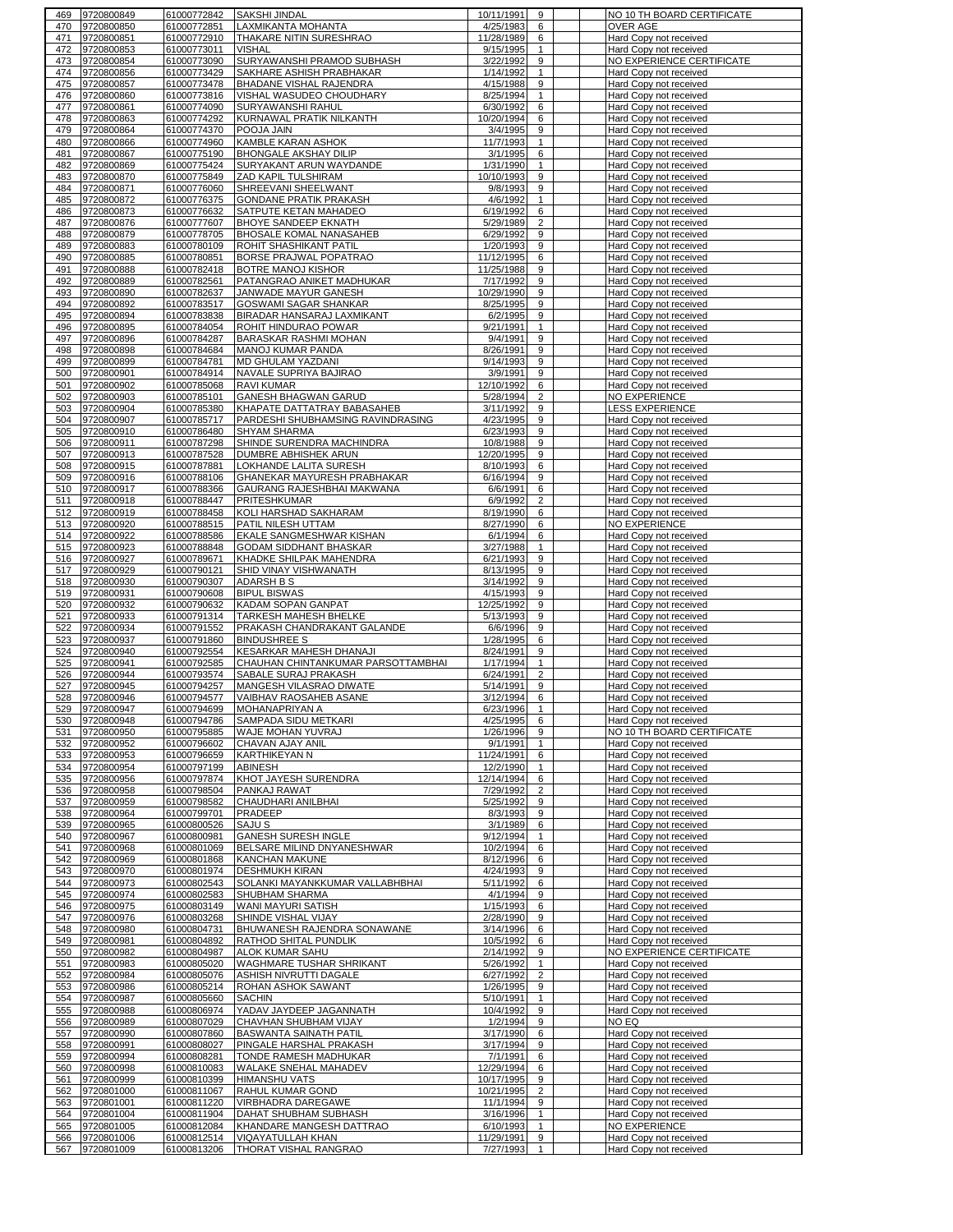| 470        | 9720800849                   | 61000772842                | SAKSHI JINDAL                                      | 10/11/1991<br>9                              | NO 10 TH BOARD CERTIFICATE                       |
|------------|------------------------------|----------------------------|----------------------------------------------------|----------------------------------------------|--------------------------------------------------|
|            | 9720800850                   | 61000772851                | LAXMIKANTA MOHANTA                                 | 4/25/1983<br>6                               | <b>OVER AGE</b>                                  |
| 471        | 9720800851                   | 61000772910                | THAKARE NITIN SURESHRAO                            | 11/28/1989<br>6                              | Hard Copy not received                           |
| 472        | 9720800853                   | 61000773011                | <b>VISHAL</b>                                      | 9/15/1995<br>$\mathbf{1}$                    | Hard Copy not received                           |
| 473        | 9720800854                   | 61000773090                | SURYAWANSHI PRAMOD SUBHASH                         | 9<br>3/22/1992                               | NO EXPERIENCE CERTIFICATE                        |
| 474        | 9720800856                   | 61000773429                | SAKHARE ASHISH PRABHAKAR                           | 1/14/1992<br>$\mathbf{1}$                    | Hard Copy not received                           |
| 475        | 9720800857                   | 61000773478                | BHADANE VISHAL RAJENDRA                            | 4/15/1988<br>9                               | Hard Copy not received                           |
| 476        | 9720800860                   | 61000773816                | VISHAL WASUDEO CHOUDHARY                           | 8/25/1994<br>$\mathbf{1}$                    | Hard Copy not received                           |
| 477        | 9720800861                   | 61000774090                | <b>SURYAWANSHI RAHUL</b>                           | 6<br>6/30/1992                               | Hard Copy not received                           |
| 478        | 9720800863                   | 61000774292                | KURNAWAL PRATIK NILKANTH                           | 10/20/1994<br>6                              | Hard Copy not received                           |
| 479        | 9720800864                   | 61000774370                | POOJA JAIN                                         | 3/4/1995<br>9                                | Hard Copy not received                           |
| 480<br>481 | 9720800866                   | 61000774960<br>61000775190 | KAMBLE KARAN ASHOK<br>BHONGALE AKSHAY DILIP        | 11/7/1993<br>$\mathbf{1}$<br>6               | Hard Copy not received                           |
| 482        | 9720800867                   |                            | SURYAKANT ARUN WAYDANDE                            | 3/1/1995<br>1/31/1990<br>$\mathbf{1}$        | Hard Copy not received<br>Hard Copy not received |
| 483        | 9720800869<br>9720800870     | 61000775424<br>61000775849 | ZAD KAPIL TULSHIRAM                                | 10/10/1993<br>9                              | Hard Copy not received                           |
| 484        | 9720800871                   | 61000776060                | SHREEVANI SHEELWANT                                | 9/8/1993<br>9                                | Hard Copy not received                           |
| 485        | 9720800872                   | 61000776375                | GONDANE PRATIK PRAKASH                             | $\mathbf{1}$<br>4/6/1992                     | Hard Copy not received                           |
| 486        | 9720800873                   | 61000776632                | SATPUTE KETAN MAHADEO                              | 6/19/1992<br>6                               | Hard Copy not received                           |
| 487        | 9720800876                   | 61000777607                | BHOYE SANDEEP EKNATH                               | 5/29/1989<br>$\overline{2}$                  | Hard Copy not received                           |
| 488        | 9720800879                   | 61000778705                | <b>BHOSALE KOMAL NANASAHEB</b>                     | 6/29/1992<br>9                               | Hard Copy not received                           |
| 489        | 9720800883                   | 61000780109                | ROHIT SHASHIKANT PATIL                             | 9<br>1/20/1993                               | Hard Copy not received                           |
| 490        | 9720800885                   | 61000780851                | BORSE PRAJWAL POPATRAO                             | 11/12/1995<br>6                              | Hard Copy not received                           |
| 491        | 9720800888                   | 61000782418                | <b>BOTRE MANOJ KISHOR</b>                          | 11/25/1988<br>9                              | Hard Copy not received                           |
| 492        | 9720800889                   | 61000782561                | PATANGRAO ANIKET MADHUKAR                          | 7/17/1992<br>9                               | Hard Copy not received                           |
| 493        | 9720800890                   | 61000782637                | JANWADE MAYUR GANESH                               | 10/29/1990<br>9                              | Hard Copy not received                           |
| 494        | 9720800892                   | 61000783517                | GOSWAMI SAGAR SHANKAR                              | 8/25/1995<br>9                               | Hard Copy not received                           |
| 495        | 9720800894                   | 61000783838                | BIRADAR HANSARAJ LAXMIKANT                         | 6/2/1995<br>9                                | Hard Copy not received                           |
| 496        | 9720800895                   | 61000784054                | ROHIT HINDURAO POWAR                               | 9/21/1991<br>$\mathbf{1}$                    | Hard Copy not received                           |
| 497        | 9720800896                   | 61000784287                | BARASKAR RASHMI MOHAN                              | 9<br>9/4/1991                                | Hard Copy not received                           |
| 498        | 9720800898                   | 61000784684                | MANOJ KUMAR PANDA                                  | 8/26/1991<br>9                               | Hard Copy not received                           |
| 499<br>500 | 9720800899<br>9720800901     | 61000784781<br>61000784914 | MD GHULAM YAZDANI<br><b>NAVALE SUPRIYA BAJIRAO</b> | 9<br>9/14/1993<br>3/9/1991<br>9              | Hard Copy not received<br>Hard Copy not received |
| 501        | 9720800902                   | 61000785068                | <b>RAVI KUMAR</b>                                  | 12/10/1992<br>6                              | Hard Copy not received                           |
| 502        | 9720800903                   | 61000785101                | GANESH BHAGWAN GARUD                               | $\overline{\mathbf{c}}$<br>5/28/1994         | <b>NO EXPERIENCE</b>                             |
| 503        | 9720800904                   | 61000785380                | KHAPATE DATTATRAY BABASAHEB                        | 3/11/1992<br>9                               | <b>LESS EXPERIENCE</b>                           |
| 504        | 9720800907                   | 61000785717                | PARDESHI SHUBHAMSING RAVINDRASING                  | 4/23/1995<br>9                               | Hard Copy not received                           |
| 505        | 9720800910                   | 61000786480                | SHYAM SHARMA                                       | 9<br>6/23/1993                               | Hard Copy not received                           |
| 506        | 9720800911                   | 61000787298                | SHINDE SURENDRA MACHINDRA                          | 9<br>10/8/1988                               | Hard Copy not received                           |
| 507        | 9720800913                   | 61000787528                | DUMBRE ABHISHEK ARUN                               | 12/20/1995<br>9                              | Hard Copy not received                           |
| 508        | 9720800915                   | 61000787881                | LOKHANDE LALITA SURESH                             | 8/10/1993<br>6                               | Hard Copy not received                           |
| 509        | 9720800916<br>9720800917     | 61000788106<br>61000788366 | GHANEKAR MAYURESH PRABHAKAR                        | 6/16/1994<br>9<br>6<br>6/6/1991              | Hard Copy not received                           |
| 510<br>511 | 9720800918                   | 61000788447                | GAURANG RAJESHBHAI MAKWANA<br>PRITESHKUMAR         | $\overline{2}$<br>6/9/1992                   | Hard Copy not received<br>Hard Copy not received |
| 512        | 9720800919                   | 61000788458                | KOLI HARSHAD SAKHARAM                              | 8/19/1990<br>6                               | Hard Copy not received                           |
| 513        | 9720800920                   | 61000788515                | PATIL NILESH UTTAM                                 | 8/27/1990<br>6                               | <b>NO EXPERIENCE</b>                             |
| 514        | 9720800922                   | 61000788586                | EKALE SANGMESHWAR KISHAN                           | 6/1/1994<br>6                                | Hard Copy not received                           |
| 515        | 9720800923                   | 61000788848                | <b>GODAM SIDDHANT BHASKAR</b>                      | 3/27/1988<br>$\mathbf{1}$                    | Hard Copy not received                           |
| 516        | 9720800927                   | 61000789671                | KHADKE SHILPAK MAHENDRA                            | 6/21/1993<br>9                               | Hard Copy not received                           |
| 517        | 9720800929                   | 61000790121                | SHID VINAY VISHWANATH                              | 8/13/1995<br>9                               | Hard Copy not received                           |
| 518        | 9720800930                   | 61000790307                | ADARSH B S                                         | 3/14/1992<br>9                               | Hard Copy not received                           |
| 519<br>520 | 9720800931                   | 61000790608                | <b>BIPUL BISWAS</b>                                | 4/15/1993<br>9<br>9                          | Hard Copy not received                           |
| 521        | 9720800932<br>9720800933     | 61000790632<br>61000791314 | KADAM SOPAN GANPAT<br>TARKESH MAHESH BHELKE        | 12/25/1992<br>5/13/1993<br>9                 | Hard Copy not received<br>Hard Copy not received |
| 522        | 9720800934                   | 61000791552                | PRAKASH CHANDRAKANT GALANDE                        | 6/6/1996<br>9                                | Hard Copy not received                           |
|            |                              |                            |                                                    |                                              |                                                  |
|            |                              |                            |                                                    |                                              |                                                  |
| 523<br>524 | 9720800937<br>9720800940     | 61000791860<br>61000792554 | <b>BINDUSHREE S</b><br>KESARKAR MAHESH DHANAJI     | 1/28/1995<br>6<br>9<br>8/24/1991             | Hard Copy not received<br>Hard Copy not received |
| 525        | 9720800941                   | 61000792585                | CHAUHAN CHINTANKUMAR PARSOTTAMBHAI                 | 1/17/1994<br>$\mathbf{1}$                    | Hard Copy not received                           |
| 526        | 9720800944                   | 61000793574                | SABALE SURAJ PRAKASH                               | 6/24/1991<br>$\overline{2}$                  | Hard Copy not received                           |
| 527        | 9720800945                   | 61000794257                | <b>MANGESH VILASRAO DIWATE</b>                     | 9<br>5/14/1991                               | Hard Copy not received                           |
| 528        | 9720800946                   | 61000794577                | VAIBHAV RAOSAHEB ASANE                             | 3/12/1994<br>6                               | Hard Copy not received                           |
| 529        | 9720800947                   | 61000794699                | <b>MOHANAPRIYAN A</b>                              | 6/23/1996                                    | Hard Copy not received                           |
|            | 530 9720800948               | 61000794786                | SAMPADA SIDU METKARI                               | 4/25/1995<br>6                               | Hard Copy not received                           |
| 531        | 9720800950<br>9720800952     | 61000795885                | <b>WAJE MOHAN YUVRAJ</b>                           | 1/26/1996<br>9<br>1                          | NO 10 TH BOARD CERTIFICATE                       |
| 532<br>533 | 9720800953                   | 61000796602<br>61000796659 | CHAVAN AJAY ANIL<br>KARTHIKEYAN N                  | 9/1/1991<br>11/24/1991<br>6                  | Hard Copy not received                           |
| 534        | 9720800954                   | 61000797199                | <b>ABINESH</b>                                     | 12/2/1990<br>$\mathbf{1}$                    | Hard Copy not received<br>Hard Copy not received |
| 535        | 9720800956                   | 61000797874                | KHOT JAYESH SURENDRA                               | 6<br>12/14/1994                              | Hard Copy not received                           |
| 536        | 9720800958                   | 61000798504                | PANKAJ RAWAT                                       | 7/29/1992<br>$\overline{2}$                  | Hard Copy not received                           |
| 537        | 9720800959                   | 61000798582                | CHAUDHARI ANILBHAI                                 | 5/25/1992<br>9                               | Hard Copy not received                           |
| 538        | 9720800964                   | 61000799701                | PRADEEP                                            | 8/3/1993<br>9                                | Hard Copy not received                           |
| 539        | 9720800965                   | 61000800526                | <b>SAJUS</b>                                       | 3/1/1989<br>6                                | Hard Copy not received                           |
| 540        | 9720800967                   | 61000800981                | <b>GANESH SURESH INGLE</b>                         | 9/12/1994<br>$\mathbf{1}$                    | Hard Copy not received                           |
| 541<br>542 | 9720800968                   | 61000801069                | BELSARE MILIND DNYANESHWAR                         | 10/2/1994<br>6<br>6                          | Hard Copy not received                           |
| 543        | 9720800969<br>9720800970     | 61000801868<br>61000801974 | <b>KANCHAN MAKUNE</b><br><b>DESHMUKH KIRAN</b>     | 8/12/1996<br>4/24/1993<br>9                  | Hard Copy not received<br>Hard Copy not received |
| 544        | 9720800973                   | 61000802543                | SOLANKI MAYANKKUMAR VALLABHBHAI                    | 5/11/1992<br>6                               | Hard Copy not received                           |
| 545        | 9720800974                   | 61000802583                | SHUBHAM SHARMA                                     | 4/1/1994<br>9                                | Hard Copy not received                           |
|            | 546 9720800975               | 61000803149                | WANI MAYURI SATISH                                 | 1/15/1993<br>6                               | Hard Copy not received                           |
| 547        | 9720800976                   | 61000803268                | SHINDE VISHAL VIJAY                                | 2/28/1990<br>9                               | Hard Copy not received                           |
|            | 548 9720800980               | 61000804731                | BHUWANESH RAJENDRA SONAWANE                        | 3/14/1996<br>6                               | Hard Copy not received                           |
| 549        | 9720800981                   | 61000804892                | RATHOD SHITAL PUNDLIK                              | 10/5/1992<br>6                               | Hard Copy not received                           |
| 550        | 9720800982                   | 61000804987<br>61000805020 | ALOK KUMAR SAHU                                    | 2/14/1992<br>9<br>$\mathbf{1}$               | NO EXPERIENCE CERTIFICATE                        |
| 551<br>552 | 9720800983<br>9720800984     | 61000805076                | WAGHMARE TUSHAR SHRIKANT<br>ASHISH NIVRUTTI DAGALE | 5/26/1992<br>$\overline{2}$<br>6/27/1992     | Hard Copy not received<br>Hard Copy not received |
| 553        | 9720800986                   | 61000805214                | ROHAN ASHOK SAWANT                                 | 1/26/1995<br>9                               | Hard Copy not received                           |
| 554        | 9720800987                   | 61000805660                | <b>SACHIN</b>                                      | 5/10/1991<br>$\mathbf{1}$                    | Hard Copy not received                           |
| 555        | 9720800988                   | 61000806974                | YADAV JAYDEEP JAGANNATH                            | 10/4/1992<br>9                               | Hard Copy not received                           |
| 556        | 9720800989                   | 61000807029                | CHAVHAN SHUBHAM VIJAY                              | 9<br>1/2/1994                                | NO EQ                                            |
| 557        | 9720800990                   | 61000807860                | <b>BASWANTA SAINATH PATIL</b>                      | 3/17/1990<br>6                               | Hard Copy not received                           |
| 558        | 9720800991                   | 61000808027                | PINGALE HARSHAL PRAKASH                            | 3/17/1994<br>9                               | Hard Copy not received                           |
| 559        | 9720800994                   | 61000808281                | TONDE RAMESH MADHUKAR                              | 7/1/1991<br>6                                | Hard Copy not received                           |
| 560<br>561 | 9720800998<br>9720800999     | 61000810083<br>61000810399 | WALAKE SNEHAL MAHADEV<br><b>HIMANSHU VATS</b>      | 12/29/1994<br>6<br>10/17/1995<br>9           | Hard Copy not received                           |
| 562        | 9720801000                   | 61000811067                | RAHUL KUMAR GOND                                   | 10/21/1995<br>$\overline{2}$                 | Hard Copy not received<br>Hard Copy not received |
| 563        | 9720801001                   | 61000811220                | VIRBHADRA DAREGAWE                                 | 11/1/1994<br>9                               | Hard Copy not received                           |
| 564        | 9720801004                   | 61000811904                | DAHAT SHUBHAM SUBHASH                              | 3/16/1996<br>$\mathbf{1}$                    | Hard Copy not received                           |
| 565        | 9720801005                   | 61000812084                | KHANDARE MANGESH DATTRAO                           | 6/10/1993<br>$\mathbf{1}$                    | <b>NO EXPERIENCE</b>                             |
| 566        | 9720801006<br>567 9720801009 | 61000812514<br>61000813206 | <b>VIQAYATULLAH KHAN</b><br>THORAT VISHAL RANGRAO  | 9<br>11/29/1991<br>7/27/1993<br>$\mathbf{1}$ | Hard Copy not received<br>Hard Copy not received |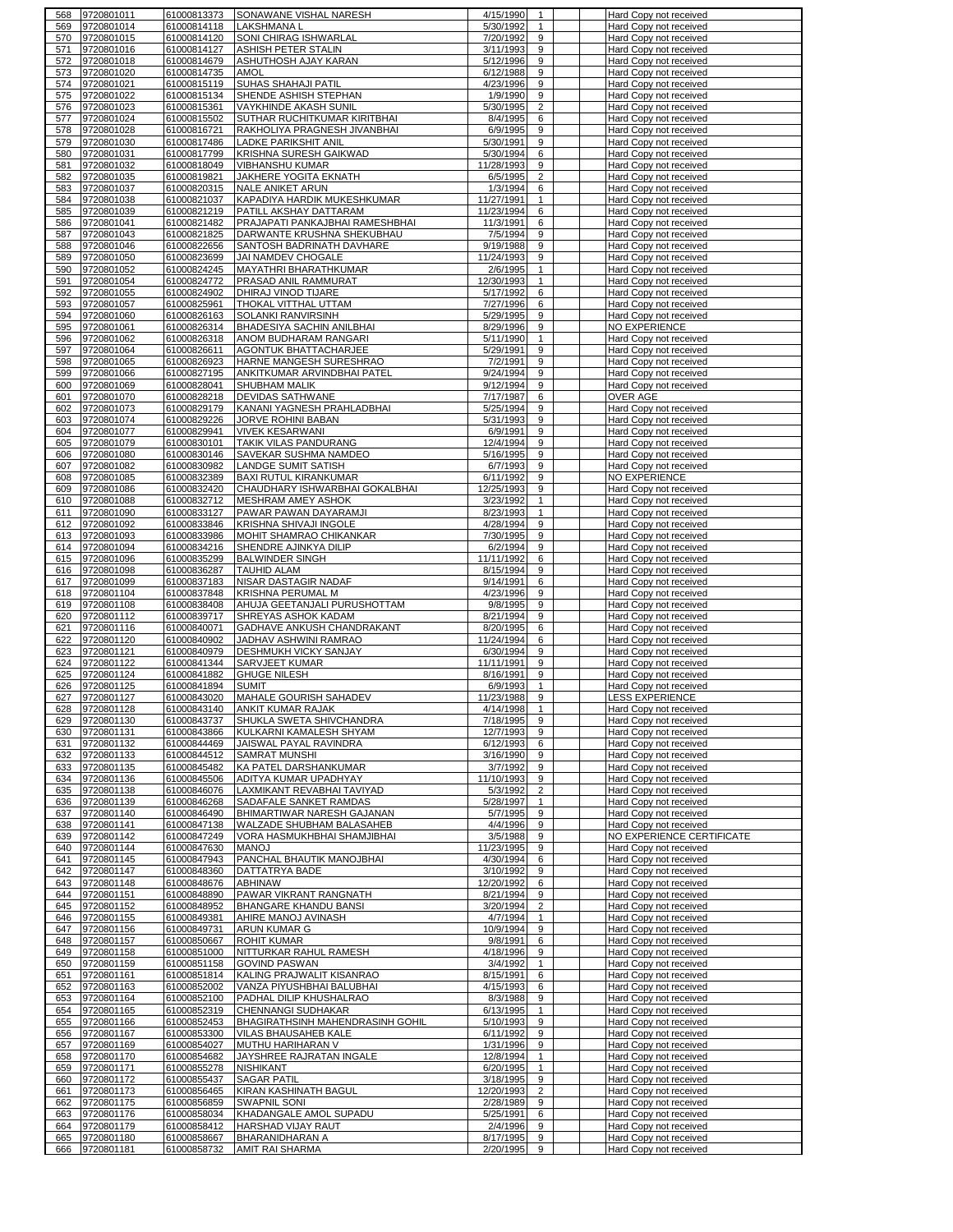| 569        | 9720801011               | 61000813373                | SONAWANE VISHAL NARESH                    | 4/15/1990                        | Hard Copy not received                           |
|------------|--------------------------|----------------------------|-------------------------------------------|----------------------------------|--------------------------------------------------|
|            | 9720801014               | 61000814118                | LAKSHMANA L                               | 5/30/1992<br>$\mathbf{1}$        | Hard Copy not received                           |
| 570        | 9720801015               | 61000814120                | SONI CHIRAG ISHWARLAL                     | 7/20/1992<br>9                   | Hard Copy not received                           |
| 571        | 9720801016               | 61000814127                | ASHISH PETER STALIN                       | 3/11/1993<br>9                   | Hard Copy not received                           |
| 572        | 9720801018               | 61000814679                | ASHUTHOSH AJAY KARAN                      | 5/12/1996<br>9                   | Hard Copy not received                           |
| 573        | 9720801020               | 61000814735                | <b>AMOL</b>                               | 6/12/1988<br>9                   |                                                  |
|            |                          |                            |                                           |                                  | Hard Copy not received                           |
| 574        | 9720801021               | 61000815119                | SUHAS SHAHAJI PATIL                       | 9<br>4/23/1996                   | Hard Copy not received                           |
| 575        | 9720801022               | 61000815134                | SHENDE ASHISH STEPHAN                     | 1/9/1990<br>9                    | Hard Copy not received                           |
| 576        | 9720801023               | 61000815361                | VAYKHINDE AKASH SUNIL                     | $\overline{2}$<br>5/30/1995      | Hard Copy not received                           |
| 577        | 9720801024               | 61000815502                | SUTHAR RUCHITKUMAR KIRITBHAI              | 8/4/1995<br>6                    | Hard Copy not received                           |
| 578        | 9720801028               | 61000816721                | RAKHOLIYA PRAGNESH JIVANBHAI              | 6/9/1995<br>9                    | Hard Copy not received                           |
| 579        | 9720801030               | 61000817486                | LADKE PARIKSHIT ANIL                      | 5/30/1991<br>9                   | Hard Copy not received                           |
| 580        | 9720801031               | 61000817799                | KRISHNA SURESH GAIKWAD                    | 5/30/1994<br>6                   | Hard Copy not received                           |
|            |                          |                            |                                           |                                  |                                                  |
| 581        | 9720801032               | 61000818049                | <b>VIBHANSHU KUMAR</b>                    | 11/28/1993<br>9                  | Hard Copy not received                           |
| 582        | 9720801035               | 61000819821                | JAKHERE YOGITA EKNATH                     | 6/5/1995<br>2                    | Hard Copy not received                           |
| 583        | 9720801037               | 61000820315                | NALE ANIKET ARUN                          | 1/3/1994<br>6                    | Hard Copy not received                           |
| 584        | 9720801038               | 61000821037                | KAPADIYA HARDIK MUKESHKUMAR               | 11/27/1991<br>$\mathbf{1}$       | Hard Copy not received                           |
| 585        | 9720801039               | 61000821219                | PATILL AKSHAY DATTARAM                    | 11/23/1994<br>6                  | Hard Copy not received                           |
| 586        | 9720801041               | 61000821482                | PRAJAPATI PANKAJBHAI RAMESHBHAI           | 11/3/1991<br>6                   | Hard Copy not received                           |
|            | 9720801043               | 61000821825                |                                           | 7/5/1994<br>9                    |                                                  |
| 587        |                          |                            | DARWANTE KRUSHNA SHEKUBHAU                |                                  | Hard Copy not received                           |
| 588        | 9720801046               | 61000822656                | SANTOSH BADRINATH DAVHARE                 | 9/19/1988<br>9                   | Hard Copy not received                           |
| 589        | 9720801050               | 61000823699                | <b>JAI NAMDEV CHOGALE</b>                 | 11/24/1993<br>9                  | Hard Copy not received                           |
| 590        | 9720801052               | 61000824245                | MAYATHRI BHARATHKUMAR                     | 2/6/1995<br>$\mathbf{1}$         | Hard Copy not received                           |
| 591        | 9720801054               | 61000824772                | PRASAD ANIL RAMMURAT                      | 12/30/1993<br>$\mathbf{1}$       | Hard Copy not received                           |
| 592        | 9720801055               | 61000824902                | DHIRAJ VINOD TIJARE                       | 5/17/1992<br>6                   | Hard Copy not received                           |
| 593        | 9720801057               | 61000825961                | THOKAL VITTHAL UTTAM                      | 7/27/1996<br>6                   | Hard Copy not received                           |
| 594        | 9720801060               | 61000826163                | SOLANKI RANVIRSINH                        | 9<br>5/29/1995                   | Hard Copy not received                           |
|            |                          |                            |                                           |                                  |                                                  |
| 595        | 9720801061               | 61000826314                | BHADESIYA SACHIN ANILBHAI                 | 8/29/1996<br>9                   | NO EXPERIENCE                                    |
| 596        | 9720801062               | 61000826318                | ANOM BUDHARAM RANGARI                     | 5/11/1990<br>$\mathbf{1}$        | Hard Copy not received                           |
| 597        | 9720801064               | 61000826611                | AGONTUK BHATTACHARJEE                     | 9<br>5/29/1991                   | Hard Copy not received                           |
| 598        | 9720801065               | 61000826923                | HARNE MANGESH SURESHRAO                   | 7/2/1991<br>9                    | Hard Copy not received                           |
| 599        | 9720801066               | 61000827195                | ANKITKUMAR ARVINDBHAI PATEL               | 9/24/1994<br>9                   | Hard Copy not received                           |
| 600        | 9720801069               | 61000828041                | SHUBHAM MALIK                             | 9<br>9/12/1994                   | Hard Copy not received                           |
|            |                          |                            |                                           |                                  |                                                  |
| 601        | 9720801070               | 61000828218                | <b>DEVIDAS SATHWANE</b>                   | 7/17/1987<br>6                   | <b>OVER AGE</b>                                  |
| 602        | 9720801073               | 61000829179                | KANANI YAGNESH PRAHLADBHAI                | 5/25/1994<br>9                   | Hard Copy not received                           |
| 603        | 9720801074               | 61000829226                | JORVE ROHINI BABAN                        | 5/31/1993<br>9                   | Hard Copy not received                           |
| 604        | 9720801077               | 61000829941                | <b>VIVEK KESARWANI</b>                    | 6/9/1991<br>9                    | Hard Copy not received                           |
| 605        | 9720801079               | 61000830101                | TAKIK VILAS PANDURANG                     | 12/4/1994<br>9                   | Hard Copy not received                           |
| 606        | 9720801080               | 61000830146                | SAVEKAR SUSHMA NAMDEO                     | 5/16/1995<br>9                   | Hard Copy not received                           |
| 607        | 9720801082               | 61000830982                | <b>LANDGE SUMIT SATISH</b>                | 6/7/1993<br>9                    | Hard Copy not received                           |
|            |                          |                            |                                           |                                  |                                                  |
| 608        | 9720801085               | 61000832389                | <b>BAXI RUTUL KIRANKUMAR</b>              | 6/11/1992<br>9                   | NO EXPERIENCE                                    |
| 609        | 9720801086               | 61000832420                | CHAUDHARY ISHWARBHAI GOKALBHAI            | 9<br>12/25/1993                  | Hard Copy not received                           |
| 610        | 9720801088               | 61000832712                | MESHRAM AMEY ASHOK                        | 3/23/1992<br>$\mathbf{1}$        | Hard Copy not received                           |
| 611        | 9720801090               | 61000833127                | PAWAR PAWAN DAYARAMJI                     | 8/23/1993<br>$\mathbf{1}$        | Hard Copy not received                           |
| 612        | 9720801092               | 61000833846                | KRISHNA SHIVAJI INGOLE                    | 4/28/1994<br>9                   | Hard Copy not received                           |
| 613        | 9720801093               | 61000833986                | MOHIT SHAMRAO CHIKANKAR                   | 7/30/1995<br>9                   | Hard Copy not received                           |
|            | 9720801094               |                            |                                           | 6/2/1994<br>9                    |                                                  |
| 614        |                          | 61000834216                | SHENDRE AJINKYA DILIP                     |                                  | Hard Copy not received                           |
| 615        | 9720801096               | 61000835299                | <b>BALWINDER SINGH</b>                    | 11/11/1992<br>6                  | Hard Copy not received                           |
| 616        | 9720801098               | 61000836287                | <b>TAUHID ALAM</b>                        | 8/15/1994<br>9                   | Hard Copy not received                           |
| 617        | 9720801099               | 61000837183                | NISAR DASTAGIR NADAF                      | 9/14/1991<br>6                   | Hard Copy not received                           |
| 618        | 9720801104               | 61000837848                | KRISHNA PERUMAL M                         | 4/23/1996<br>9                   | Hard Copy not received                           |
| 619        | 9720801108               | 61000838408                | AHUJA GEETANJALI PURUSHOTTAM              | 9<br>9/8/1995                    | Hard Copy not received                           |
| 620        | 9720801112               | 61000839717                | SHREYAS ASHOK KADAM                       | 8/21/1994<br>9                   | Hard Copy not received                           |
|            |                          |                            |                                           |                                  |                                                  |
| 621        | 9720801116               | 61000840071                | GADHAVE ANKUSH CHANDRAKANT                | 8/20/1995<br>6                   | Hard Copy not received                           |
| 622        | 9720801120               | 61000840902                | JADHAV ASHWINI RAMRAO                     | 11/24/1994<br>6                  | Hard Copy not received                           |
|            | 9720801121               | 61000840979                | DESHMUKH VICKY SANJAY                     | 6/30/1994<br>9                   | Hard Copy not received                           |
| 623        |                          |                            | SARVJEET KUMAR                            | 9                                |                                                  |
| 624        | 9720801122               | 61000841344                |                                           | 11/11/1991                       | Hard Copy not received                           |
|            |                          |                            |                                           |                                  |                                                  |
| 625        | 9720801124               | 61000841882                | <b>GHUGE NILESH</b>                       | 8/16/1991<br>9                   | Hard Copy not received                           |
| 626        | 9720801125               | 61000841894                | <b>SUMIT</b>                              | 6/9/1993<br>$\mathbf{1}$         | Hard Copy not received                           |
| 627        | 9720801127               | 61000843020                | MAHALE GOURISH SAHADEV                    | 11/23/1988<br>9                  | <b>LESS EXPERIENCE</b>                           |
| 628        | 9720801128               | 61000843140                | <b>ANKIT KUMAR RAJAK</b>                  | 4/14/1998<br>$\mathbf{1}$        | Hard Copy not received                           |
| 629        | 9720801130               | 61000843737                | SHUKLA SWETA SHIVCHANDRA                  | 7/18/1995<br>9                   | Hard Copy not received                           |
| 630        | 9720801131               | 61000843866                | KULKARNI KAMALESH SHYAM                   | 12/7/1993<br>9                   | Hard Copy not received                           |
| 631        | 9720801132               | 61000844469                | JAISWAL PAYAL RAVINDRA                    | 6/12/1993<br>6                   | Hard Copy not received                           |
| 632        | 9720801133               | 61000844512                | SAMRAT MUNSHI                             | 3/16/1990<br>9                   | Hard Copy not received                           |
|            |                          |                            |                                           |                                  |                                                  |
| 633        | 9720801135               | 61000845482                | KA PATEL DARSHANKUMAR                     | 3/7/1992<br>9                    | Hard Copy not received                           |
| 634        | 9720801136               | 61000845506                | ADITYA KUMAR UPADHYAY                     | 11/10/1993<br>9                  | Hard Copy not received                           |
| 635        | 9720801138               | 61000846076                | LAXMIKANT REVABHAI TAVIYAD                | $\overline{2}$<br>5/3/1992       | Hard Copy not received                           |
| 636        | 9720801139               | 61000846268                | SADAFALE SANKET RAMDAS                    | 5/28/1997<br>$\mathbf{1}$        | Hard Copy not received                           |
| 637        | 9720801140               | 61000846490                | BHIMARTIWAR NARESH GAJANAN                | 5/7/1995<br>9                    | Hard Copy not received                           |
| 638        | 9720801141               | 61000847138                | WALZADE SHUBHAM BALASAHEB                 | 4/4/1996<br>9                    | Hard Copy not received                           |
| 639        | 9720801142               | 61000847249                | VORA HASMUKHBHAI SHAMJIBHAI               | 9<br>3/5/1988                    | NO EXPERIENCE CERTIFICATE                        |
| 640        | 9720801144               | 61000847630                | <b>MANOJ</b>                              | 11/23/1995<br>9                  | Hard Copy not received                           |
| 641        |                          | 61000847943                | PANCHAL BHAUTIK MANOJBHAI                 | 4/30/1994<br>6                   |                                                  |
|            | 9720801145               |                            |                                           |                                  | Hard Copy not received                           |
| 642        | 9720801147               | 61000848360                | DATTATRYA BADE                            | 3/10/1992<br>9                   | Hard Copy not received                           |
| 643        | 9720801148               | 61000848676                | <b>ABHINAW</b>                            | 12/20/1992<br>6                  | Hard Copy not received                           |
| 644        | 9720801151               | 61000848890                | PAWAR VIKRANT RANGNATH                    | 8/21/1994<br>9                   | Hard Copy not received                           |
| 645        | 9720801152               | 61000848952                | BHANGARE KHANDU BANSI                     | 3/20/1994<br>$\overline{2}$      | Hard Copy not received                           |
| 646        | 9720801155               | 61000849381                | AHIRE MANOJ AVINASH                       | 4/7/1994<br>$\mathbf{1}$         | Hard Copy not received                           |
| 647        | 9720801156               | 61000849731                | ARUN KUMAR G                              | 10/9/1994<br>9                   | Hard Copy not received                           |
|            |                          |                            |                                           |                                  |                                                  |
| 648        | 9720801157               | 61000850667                | <b>ROHIT KUMAR</b>                        | 6<br>9/8/1991                    | Hard Copy not received                           |
| 649        | 9720801158               | 61000851000                | NITTURKAR RAHUL RAMESH                    | 4/18/1996<br>9                   | Hard Copy not received                           |
| 650        | 9720801159               | 61000851158                | <b>GOVIND PASWAN</b>                      | 3/4/1992<br>$\mathbf{1}$         | Hard Copy not received                           |
| 651        | 9720801161               | 61000851814                | KALING PRAJWALIT KISANRAO                 | 8/15/1991<br>6                   | Hard Copy not received                           |
| 652        | 9720801163               | 61000852002                | VANZA PIYUSHBHAI BALUBHAI                 | 4/15/1993<br>6                   | Hard Copy not received                           |
| 653        | 9720801164               | 61000852100                | PADHAL DILIP KHUSHALRAO                   | 8/3/1988<br>9                    | Hard Copy not received                           |
| 654        | 9720801165               | 61000852319                |                                           | 6/13/1995<br>$\mathbf{1}$        | Hard Copy not received                           |
|            |                          |                            | CHENNANGI SUDHAKAR                        |                                  |                                                  |
| 655        | 9720801166               | 61000852453                | BHAGIRATHSINH MAHENDRASINH GOHIL          | 5/10/1993<br>9                   | Hard Copy not received                           |
| 656        | 9720801167               | 61000853300                | VILAS BHAUSAHEB KALE                      | 6/11/1992<br>9                   | Hard Copy not received                           |
| 657        | 9720801169               | 61000854027                | MUTHU HARIHARAN V                         | 1/31/1996<br>9                   | Hard Copy not received                           |
| 658        | 9720801170               | 61000854682                | JAYSHREE RAJRATAN INGALE                  | 12/8/1994<br>$\mathbf{1}$        | Hard Copy not received                           |
| 659        | 9720801171               | 61000855278                | <b>NISHIKANT</b>                          | 6/20/1995<br>$\mathbf{1}$        | Hard Copy not received                           |
| 660        | 9720801172               | 61000855437                | <b>SAGAR PATIL</b>                        | 3/18/1995<br>9                   | Hard Copy not received                           |
| 661        | 9720801173               | 61000856465                | KIRAN KASHINATH BAGUL                     | $\overline{2}$<br>12/20/1993     |                                                  |
|            |                          |                            |                                           |                                  | Hard Copy not received                           |
| 662        | 9720801175               | 61000856859                | <b>SWAPNIL SONI</b>                       | 2/28/1989<br>9                   | Hard Copy not received                           |
| 663        | 9720801176               | 61000858034                | KHADANGALE AMOL SUPADU                    | 5/25/1991<br>6                   | Hard Copy not received                           |
| 664        | 9720801179               | 61000858412                | HARSHAD VIJAY RAUT                        | 2/4/1996<br>9                    | Hard Copy not received                           |
| 665<br>666 | 9720801180<br>9720801181 | 61000858667<br>61000858732 | BHARANIDHARAN A<br><b>AMIT RAI SHARMA</b> | 8/17/1995<br>9<br>2/20/1995<br>9 | Hard Copy not received<br>Hard Copy not received |